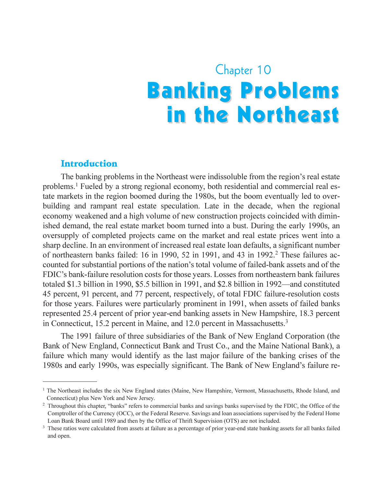# Chapter 10 **Banking Problems** in the Northeast

#### Introduction

The banking problems in the Northeast were indissoluble from the region's real estate problems.1 Fueled by a strong regional economy, both residential and commercial real estate markets in the region boomed during the 1980s, but the boom eventually led to overbuilding and rampant real estate speculation. Late in the decade, when the regional economy weakened and a high volume of new construction projects coincided with diminished demand, the real estate market boom turned into a bust. During the early 1990s, an oversupply of completed projects came on the market and real estate prices went into a sharp decline. In an environment of increased real estate loan defaults, a significant number of northeastern banks failed: 16 in 1990, 52 in 1991, and 43 in 1992.<sup>2</sup> These failures accounted for substantial portions of the nation's total volume of failed-bank assets and of the FDIC's bank-failure resolution costs for those years. Losses from northeastern bank failures totaled \$1.3 billion in 1990, \$5.5 billion in 1991, and \$2.8 billion in 1992—and constituted 45 percent, 91 percent, and 77 percent, respectively, of total FDIC failure-resolution costs for those years. Failures were particularly prominent in 1991, when assets of failed banks represented 25.4 percent of prior year-end banking assets in New Hampshire, 18.3 percent in Connecticut, 15.2 percent in Maine, and 12.0 percent in Massachusetts.<sup>3</sup>

The 1991 failure of three subsidiaries of the Bank of New England Corporation (the Bank of New England, Connecticut Bank and Trust Co., and the Maine National Bank), a failure which many would identify as the last major failure of the banking crises of the 1980s and early 1990s, was especially significant. The Bank of New England's failure re-

<sup>&</sup>lt;sup>1</sup> The Northeast includes the six New England states (Maine, New Hampshire, Vermont, Massachusetts, Rhode Island, and Connecticut) plus New York and New Jersey.

<sup>&</sup>lt;sup>2</sup> Throughout this chapter, "banks" refers to commercial banks and savings banks supervised by the FDIC, the Office of the Comptroller of the Currency (OCC), or the Federal Reserve. Savings and loan associations supervised by the Federal Home Loan Bank Board until 1989 and then by the Office of Thrift Supervision (OTS) are not included.

<sup>&</sup>lt;sup>3</sup> These ratios were calculated from assets at failure as a percentage of prior year-end state banking assets for all banks failed and open.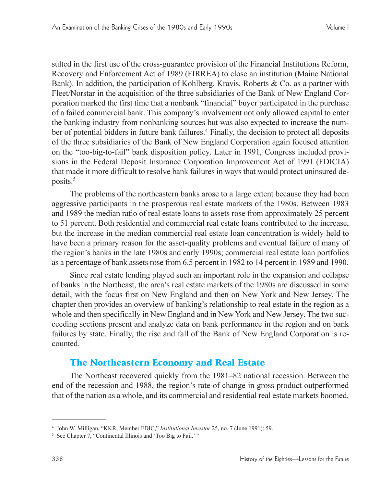sulted in the first use of the cross-guarantee provision of the Financial Institutions Reform, Recovery and Enforcement Act of 1989 (FIRREA) to close an institution (Maine National Bank). In addition, the participation of Kohlberg, Kravis, Roberts & Co. as a partner with Fleet/Norstar in the acquisition of the three subsidiaries of the Bank of New England Corporation marked the first time that a nonbank "financial" buyer participated in the purchase of a failed commercial bank. This companys involvement not only allowed capital to enter the banking industry from nonbanking sources but was also expected to increase the number of potential bidders in future bank failures.<sup>4</sup> Finally, the decision to protect all deposits of the three subsidiaries of the Bank of New England Corporation again focused attention on the "too-big-to-fail" bank disposition policy. Later in 1991, Congress included provisions in the Federal Deposit Insurance Corporation Improvement Act of 1991 (FDICIA) that made it more difficult to resolve bank failures in ways that would protect uninsured deposits.<sup>5</sup>

The problems of the northeastern banks arose to a large extent because they had been aggressive participants in the prosperous real estate markets of the 1980s. Between 1983 and 1989 the median ratio of real estate loans to assets rose from approximately 25 percent to 51 percent. Both residential and commercial real estate loans contributed to the increase, but the increase in the median commercial real estate loan concentration is widely held to have been a primary reason for the asset-quality problems and eventual failure of many of the region's banks in the late 1980s and early 1990s; commercial real estate loan portfolios as a percentage of bank assets rose from 6.5 percent in 1982 to 14 percent in 1989 and 1990.

Since real estate lending played such an important role in the expansion and collapse of banks in the Northeast, the area's real estate markets of the 1980s are discussed in some detail, with the focus first on New England and then on New York and New Jersey. The chapter then provides an overview of banking's relationship to real estate in the region as a whole and then specifically in New England and in New York and New Jersey. The two succeeding sections present and analyze data on bank performance in the region and on bank failures by state. Finally, the rise and fall of the Bank of New England Corporation is recounted.

# The Northeastern Economy and Real Estate

The Northeast recovered quickly from the 1981–82 national recession. Between the end of the recession and 1988, the region's rate of change in gross product outperformed that of the nation as a whole, and its commercial and residential real estate markets boomed,

<sup>&</sup>lt;sup>4</sup> John W. Milligan, "KKR, Member FDIC," Institutional Investor 25, no. 7 (June 1991): 59.

<sup>&</sup>lt;sup>5</sup> See Chapter 7, "Continental Illinois and 'Too Big to Fail.'"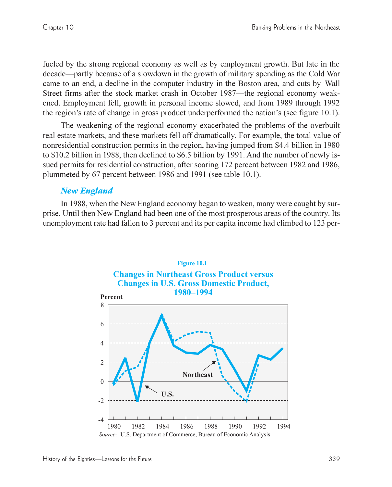fueled by the strong regional economy as well as by employment growth. But late in the decade—partly because of a slowdown in the growth of military spending as the Cold War came to an end, a decline in the computer industry in the Boston area, and cuts by Wall Street firms after the stock market crash in October 1987—the regional economy weakened. Employment fell, growth in personal income slowed, and from 1989 through 1992 the region's rate of change in gross product underperformed the nation's (see figure 10.1).

The weakening of the regional economy exacerbated the problems of the overbuilt real estate markets, and these markets fell off dramatically. For example, the total value of nonresidential construction permits in the region, having jumped from \$4.4 billion in 1980 to \$10.2 billion in 1988, then declined to \$6.5 billion by 1991. And the number of newly issued permits for residential construction, after soaring 172 percent between 1982 and 1986, plummeted by 67 percent between 1986 and 1991 (see table 10.1).

### *New England*

In 1988, when the New England economy began to weaken, many were caught by surprise. Until then New England had been one of the most prosperous areas of the country. Its unemployment rate had fallen to 3 percent and its per capita income had climbed to 123 per-

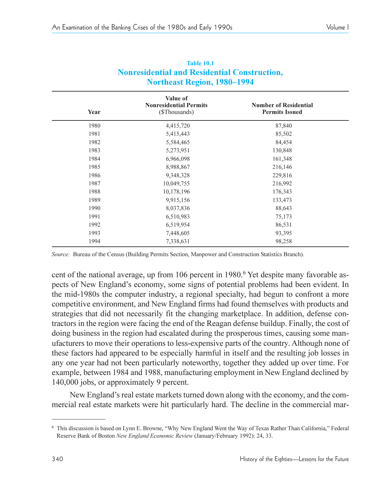| Year | Value of<br><b>Nonresidential Permits</b><br>(\$Thousands) | <b>Number of Residential</b><br><b>Permits Issued</b> |
|------|------------------------------------------------------------|-------------------------------------------------------|
| 1980 | 4,415,720                                                  | 87,840                                                |
| 1981 | 5,415,443                                                  | 85,502                                                |
| 1982 | 5,584,465                                                  | 84,454                                                |
| 1983 | 5,273,951                                                  | 130,848                                               |
| 1984 | 6,966,098                                                  | 161,348                                               |
| 1985 | 8,988,867                                                  | 216,146                                               |
| 1986 | 9,348,328                                                  | 229,816                                               |
| 1987 | 10,049,755                                                 | 216,992                                               |
| 1988 | 10,178,196                                                 | 176,343                                               |
| 1989 | 9,915,156                                                  | 133,473                                               |
| 1990 | 8,037,836                                                  | 88,643                                                |
| 1991 | 6,510,983                                                  | 75,173                                                |
| 1992 | 6,519,954                                                  | 86,531                                                |
| 1993 | 7,448,605                                                  | 93,395                                                |
| 1994 | 7,338,631                                                  | 98,258                                                |

#### **Table 10.1 Nonresidential and Residential Construction, Northeast Region, 1980–1994**

*Source:* Bureau of the Census (Building Permits Section, Manpower and Construction Statistics Branch).

cent of the national average, up from 106 percent in 1980.<sup>6</sup> Yet despite many favorable aspects of New England's economy, some signs of potential problems had been evident. In the mid-1980s the computer industry, a regional specialty, had begun to confront a more competitive environment, and New England firms had found themselves with products and strategies that did not necessarily fit the changing marketplace. In addition, defense contractors in the region were facing the end of the Reagan defense buildup. Finally, the cost of doing business in the region had escalated during the prosperous times, causing some manufacturers to move their operations to less-expensive parts of the country. Although none of these factors had appeared to be especially harmful in itself and the resulting job losses in any one year had not been particularly noteworthy, together they added up over time. For example, between 1984 and 1988, manufacturing employment in New England declined by 140,000 jobs, or approximately 9 percent.

New England's real estate markets turned down along with the economy, and the commercial real estate markets were hit particularly hard. The decline in the commercial mar-

<sup>&</sup>lt;sup>6</sup> This discussion is based on Lynn E. Browne, "Why New England Went the Way of Texas Rather Than California," Federal Reserve Bank of Boston *New England Economic Review* (January/February 1992): 24, 33.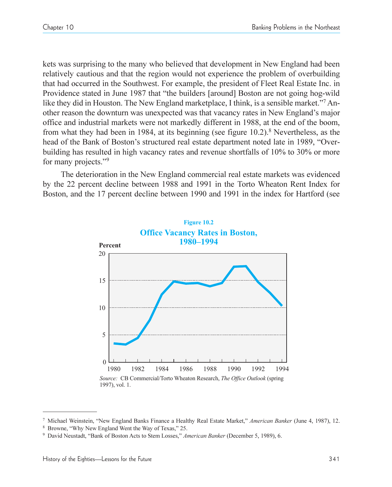kets was surprising to the many who believed that development in New England had been relatively cautious and that the region would not experience the problem of overbuilding that had occurred in the Southwest. For example, the president of Fleet Real Estate Inc. in Providence stated in June 1987 that "the builders [around] Boston are not going hog-wild like they did in Houston. The New England marketplace, I think, is a sensible market."<sup>7</sup> Another reason the downturn was unexpected was that vacancy rates in New England's major office and industrial markets were not markedly different in 1988, at the end of the boom, from what they had been in 1984, at its beginning (see figure 10.2).8 Nevertheless, as the head of the Bank of Boston's structured real estate department noted late in 1989, "Overbuilding has resulted in high vacancy rates and revenue shortfalls of 10% to 30% or more for many projects."<sup>9</sup>

The deterioration in the New England commercial real estate markets was evidenced by the 22 percent decline between 1988 and 1991 in the Torto Wheaton Rent Index for Boston, and the 17 percent decline between 1990 and 1991 in the index for Hartford (see



<sup>7</sup> Michael Weinstein, New England Banks Finance a Healthy Real Estate Market, *American Banker* (June 4, 1987), 12.

Browne, "Why New England Went the Way of Texas," 25.

<sup>&</sup>lt;sup>9</sup> David Neustadt, "Bank of Boston Acts to Stem Losses," American Banker (December 5, 1989), 6.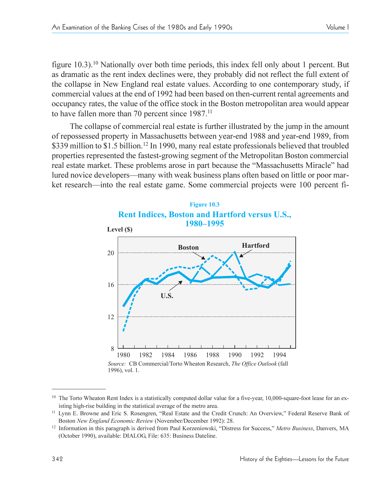figure 10.3).<sup>10</sup> Nationally over both time periods, this index fell only about 1 percent. But as dramatic as the rent index declines were, they probably did not reflect the full extent of the collapse in New England real estate values. According to one contemporary study, if commercial values at the end of 1992 had been based on then-current rental agreements and occupancy rates, the value of the office stock in the Boston metropolitan area would appear to have fallen more than 70 percent since 1987.<sup>11</sup>

The collapse of commercial real estate is further illustrated by the jump in the amount of repossessed property in Massachusetts between year-end 1988 and year-end 1989, from \$339 million to \$1.5 billion.<sup>12</sup> In 1990, many real estate professionals believed that troubled properties represented the fastest-growing segment of the Metropolitan Boston commercial real estate market. These problems arose in part because the "Massachusetts Miracle" had lured novice developers—many with weak business plans often based on little or poor market research—into the real estate game. Some commercial projects were 100 percent fi-



 $10$  The Torto Wheaton Rent Index is a statistically computed dollar value for a five-year, 10,000-square-foot lease for an existing high-rise building in the statistical average of the metro area.

<sup>&</sup>lt;sup>11</sup> Lynn E. Browne and Eric S. Rosengren, "Real Estate and the Credit Crunch: An Overview," Federal Reserve Bank of Boston *New England Economic Review* (November/December 1992): 28.

<sup>&</sup>lt;sup>12</sup> Information in this paragraph is derived from Paul Korzeniowski, "Distress for Success," Metro Business, Danvers, MA (October 1990), available: DIALOG, File: 635: Business Dateline.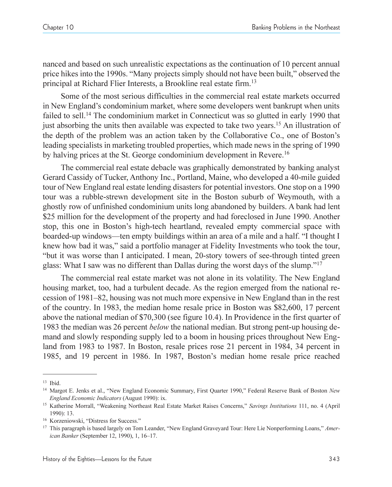nanced and based on such unrealistic expectations as the continuation of 10 percent annual price hikes into the 1990s. "Many projects simply should not have been built," observed the principal at Richard Flier Interests, a Brookline real estate firm.<sup>13</sup>

Some of the most serious difficulties in the commercial real estate markets occurred in New England's condominium market, where some developers went bankrupt when units failed to sell.<sup>14</sup> The condominium market in Connecticut was so glutted in early 1990 that just absorbing the units then available was expected to take two years.15 An illustration of the depth of the problem was an action taken by the Collaborative Co., one of Boston's leading specialists in marketing troubled properties, which made news in the spring of 1990 by halving prices at the St. George condominium development in Revere.<sup>16</sup>

The commercial real estate debacle was graphically demonstrated by banking analyst Gerard Cassidy of Tucker, Anthony Inc., Portland, Maine, who developed a 40-mile guided tour of New England real estate lending disasters for potential investors. One stop on a 1990 tour was a rubble-strewn development site in the Boston suburb of Weymouth, with a ghostly row of unfinished condominium units long abandoned by builders. A bank had lent \$25 million for the development of the property and had foreclosed in June 1990. Another stop, this one in Boston's high-tech heartland, revealed empty commercial space with boarded-up windows—ten empty buildings within an area of a mile and a half. "I thought I knew how bad it was," said a portfolio manager at Fidelity Investments who took the tour, but it was worse than I anticipated. I mean, 20-story towers of see-through tinted green glass: What I saw was no different than Dallas during the worst days of the slump."<sup>17</sup>

The commercial real estate market was not alone in its volatility. The New England housing market, too, had a turbulent decade. As the region emerged from the national recession of 1981–82, housing was not much more expensive in New England than in the rest of the country. In 1983, the median home resale price in Boston was \$82,600, 17 percent above the national median of \$70,300 (see figure 10.4). In Providence in the first quarter of 1983 the median was 26 percent *below* the national median. But strong pent-up housing demand and slowly responding supply led to a boom in housing prices throughout New England from 1983 to 1987. In Boston, resale prices rose 21 percent in 1984, 34 percent in 1985, and 19 percent in 1986. In 1987, Boston's median home resale price reached

<sup>13</sup> Ibid.

<sup>&</sup>lt;sup>14</sup> Margot E. Jenks et al., "New England Economic Summary, First Quarter 1990," Federal Reserve Bank of Boston *New England Economic Indicators* (August 1990): ix.

<sup>&</sup>lt;sup>15</sup> Katherine Morrall, "Weakening Northeast Real Estate Market Raises Concerns," Savings Institutions 111, no. 4 (April 1990): 13.

<sup>&</sup>lt;sup>16</sup> Korzeniowski, "Distress for Success."

<sup>&</sup>lt;sup>17</sup> This paragraph is based largely on Tom Leander, "New England Graveyard Tour: Here Lie Nonperforming Loans," Amer*ican Banker* (September 12, 1990), 1, 16-17.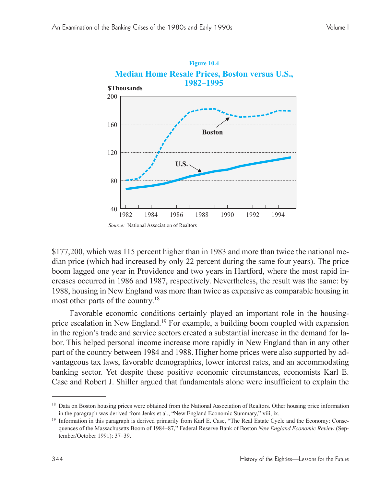

\$177,200, which was 115 percent higher than in 1983 and more than twice the national median price (which had increased by only 22 percent during the same four years). The price boom lagged one year in Providence and two years in Hartford, where the most rapid increases occurred in 1986 and 1987, respectively. Nevertheless, the result was the same: by 1988, housing in New England was more than twice as expensive as comparable housing in most other parts of the country. 18

Favorable economic conditions certainly played an important role in the housingprice escalation in New England.19 For example, a building boom coupled with expansion in the region's trade and service sectors created a substantial increase in the demand for labor. This helped personal income increase more rapidly in New England than in any other part of the country between 1984 and 1988. Higher home prices were also supported by advantageous tax laws, favorable demographics, lower interest rates, and an accommodating banking sector. Yet despite these positive economic circumstances, economists Karl E. Case and Robert J. Shiller argued that fundamentals alone were insufficient to explain the

<sup>&</sup>lt;sup>18</sup> Data on Boston housing prices were obtained from the National Association of Realtors. Other housing price information in the paragraph was derived from Jenks et al., "New England Economic Summary," viii, ix.

<sup>&</sup>lt;sup>19</sup> Information in this paragraph is derived primarily from Karl E. Case, "The Real Estate Cycle and the Economy: Consequences of the Massachusetts Boom of 1984–87," Federal Reserve Bank of Boston *New England Economic Review* (September/October 1991): 37-39.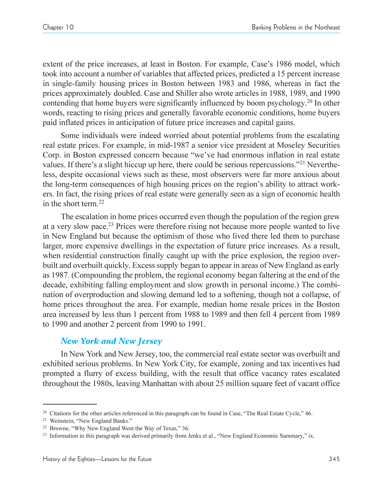extent of the price increases, at least in Boston. For example, Case's 1986 model, which took into account a number of variables that affected prices, predicted a 15 percent increase in single-family housing prices in Boston between 1983 and 1986, whereas in fact the prices approximately doubled. Case and Shiller also wrote articles in 1988, 1989, and 1990 contending that home buyers were significantly influenced by boom psychology. <sup>20</sup> In other words, reacting to rising prices and generally favorable economic conditions, home buyers paid inflated prices in anticipation of future price increases and capital gains.

Some individuals were indeed worried about potential problems from the escalating real estate prices. For example, in mid-1987 a senior vice president at Moseley Securities Corp. in Boston expressed concern because "we've had enormous inflation in real estate values. If there's a slight hiccup up here, there could be serious repercussions.<sup>221</sup> Nevertheless, despite occasional views such as these, most observers were far more anxious about the long-term consequences of high housing prices on the region's ability to attract workers. In fact, the rising prices of real estate were generally seen as a sign of economic health in the short term.22

The escalation in home prices occurred even though the population of the region grew at a very slow pace.23 Prices were therefore rising not because more people wanted to live in New England but because the optimism of those who lived there led them to purchase larger, more expensive dwellings in the expectation of future price increases. As a result, when residential construction finally caught up with the price explosion, the region overbuilt and overbuilt quickly. Excess supply began to appear in areas of New England as early as 1987. (Compounding the problem, the regional economy began faltering at the end of the decade, exhibiting falling employment and slow growth in personal income.) The combination of overproduction and slowing demand led to a softening, though not a collapse, of home prices throughout the area. For example, median home resale prices in the Boston area increased by less than 1 percent from 1988 to 1989 and then fell 4 percent from 1989 to 1990 and another 2 percent from 1990 to 1991.

#### *New York and New Jersey*

In New York and New Jersey, too, the commercial real estate sector was overbuilt and exhibited serious problems. In New York City, for example, zoning and tax incentives had prompted a flurry of excess building, with the result that office vacancy rates escalated throughout the 1980s, leaving Manhattan with about 25 million square feet of vacant office

 $20$  Citations for the other articles referenced in this paragraph can be found in Case, "The Real Estate Cycle," 46.

<sup>&</sup>lt;sup>21</sup> Weinstein, "New England Banks."

<sup>&</sup>lt;sup>22</sup> Browne, "Why New England Went the Way of Texas," 36.

<sup>&</sup>lt;sup>23</sup> Information in this paragraph was derived primarily from Jenks et al., "New England Economic Summary," ix.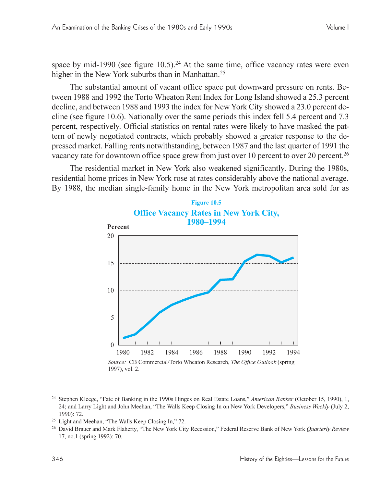The substantial amount of vacant office space put downward pressure on rents. Between 1988 and 1992 the Torto Wheaton Rent Index for Long Island showed a 25.3 percent decline, and between 1988 and 1993 the index for New York City showed a 23.0 percent decline (see figure 10.6). Nationally over the same periods this index fell 5.4 percent and 7.3 percent, respectively. Official statistics on rental rates were likely to have masked the pattern of newly negotiated contracts, which probably showed a greater response to the depressed market. Falling rents notwithstanding, between 1987 and the last quarter of 1991 the vacancy rate for downtown office space grew from just over 10 percent to over 20 percent.<sup>26</sup>

The residential market in New York also weakened significantly. During the 1980s, residential home prices in New York rose at rates considerably above the national average. By 1988, the median single-family home in the New York metropolitan area sold for as



*Source:* CB Commercial/Torto Wheaton Research, *The Office Outlook* (spring 1997), vol. 2.

<sup>&</sup>lt;sup>24</sup> Stephen Kleege, "Fate of Banking in the 1990s Hinges on Real Estate Loans," American Banker (October 15, 1990), 1, 24; and Larry Light and John Meehan, "The Walls Keep Closing In on New York Developers," *Business Weekly* (July 2, 1990): 72.

<sup>&</sup>lt;sup>25</sup> Light and Meehan, "The Walls Keep Closing In," 72.

<sup>26</sup> David Brauer and Mark Flaherty, The New York City Recession, Federal Reserve Bank of New York *Quarterly Review* 17, no.1 (spring 1992): 70.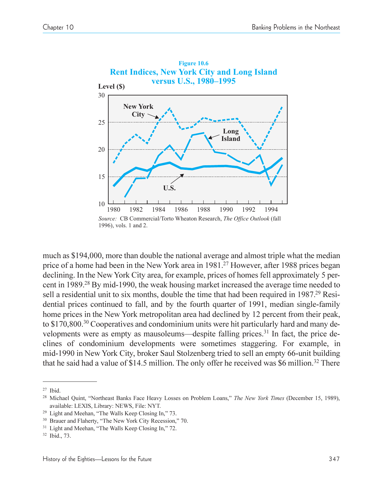

much as \$194,000, more than double the national average and almost triple what the median price of a home had been in the New York area in 1981.<sup>27</sup> However, after 1988 prices began declining. In the New York City area, for example, prices of homes fell approximately 5 percent in 1989.28 By mid-1990, the weak housing market increased the average time needed to sell a residential unit to six months, double the time that had been required in 1987.<sup>29</sup> Residential prices continued to fall, and by the fourth quarter of 1991, median single-family home prices in the New York metropolitan area had declined by 12 percent from their peak, to \$170,800.<sup>30</sup> Cooperatives and condominium units were hit particularly hard and many developments were as empty as mausoleums—despite falling prices.<sup>31</sup> In fact, the price declines of condominium developments were sometimes staggering. For example, in mid-1990 in New York City, broker Saul Stolzenberg tried to sell an empty 66-unit building that he said had a value of \$14.5 million. The only offer he received was \$6 million.<sup>32</sup> There

<sup>27</sup> Ibid.

<sup>&</sup>lt;sup>28</sup> Michael Quint, "Northeast Banks Face Heavy Losses on Problem Loans," The New York Times (December 15, 1989), available: LEXIS, Library: NEWS, File: NYT.

 $29$  Light and Meehan, "The Walls Keep Closing In," 73.

<sup>&</sup>lt;sup>30</sup> Brauer and Flaherty, "The New York City Recession," 70.

<sup>&</sup>lt;sup>31</sup> Light and Meehan, "The Walls Keep Closing In," 72.

<sup>32</sup> Ibid., 73.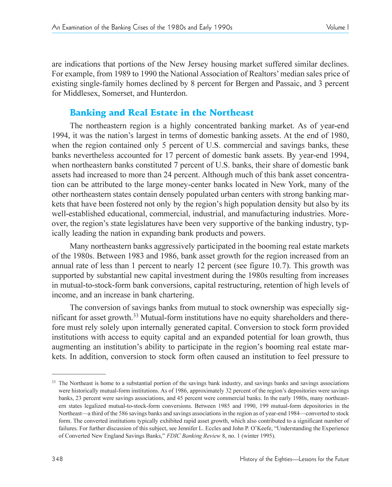are indications that portions of the New Jersey housing market suffered similar declines. For example, from 1989 to 1990 the National Association of Realtors' median sales price of existing single-family homes declined by 8 percent for Bergen and Passaic, and 3 percent for Middlesex, Somerset, and Hunterdon.

# Banking and Real Estate in the Northeast

The northeastern region is a highly concentrated banking market. As of year-end 1994, it was the nation's largest in terms of domestic banking assets. At the end of 1980, when the region contained only 5 percent of U.S. commercial and savings banks, these banks nevertheless accounted for 17 percent of domestic bank assets. By year-end 1994, when northeastern banks constituted 7 percent of U.S. banks, their share of domestic bank assets had increased to more than 24 percent. Although much of this bank asset concentration can be attributed to the large money-center banks located in New York, many of the other northeastern states contain densely populated urban centers with strong banking markets that have been fostered not only by the region's high population density but also by its well-established educational, commercial, industrial, and manufacturing industries. Moreover, the region's state legislatures have been very supportive of the banking industry, typically leading the nation in expanding bank products and powers.

Many northeastern banks aggressively participated in the booming real estate markets of the 1980s. Between 1983 and 1986, bank asset growth for the region increased from an annual rate of less than 1 percent to nearly 12 percent (see figure 10.7). This growth was supported by substantial new capital investment during the 1980s resulting from increases in mutual-to-stock-form bank conversions, capital restructuring, retention of high levels of income, and an increase in bank chartering.

The conversion of savings banks from mutual to stock ownership was especially significant for asset growth.33 Mutual-form institutions have no equity shareholders and therefore must rely solely upon internally generated capital. Conversion to stock form provided institutions with access to equity capital and an expanded potential for loan growth, thus augmenting an institution's ability to participate in the region's booming real estate markets. In addition, conversion to stock form often caused an institution to feel pressure to

<sup>&</sup>lt;sup>33</sup> The Northeast is home to a substantial portion of the savings bank industry, and savings banks and savings associations were historically mutual-form institutions. As of 1986, approximately 32 percent of the region's depositories were savings banks, 23 percent were savings associations, and 45 percent were commercial banks. In the early 1980s, many northeastern states legalized mutual-to-stock-form conversions. Between 1985 and 1990, 199 mutual-form depositories in the Northeast—a third of the 586 savings banks and savings associations in the region as of year-end 1984—converted to stock form. The converted institutions typically exhibited rapid asset growth, which also contributed to a significant number of failures. For further discussion of this subject, see Jennifer L. Eccles and John P. O'Keefe, "Understanding the Experience of Converted New England Savings Banks, *FDIC Banking Review* 8, no. 1 (winter 1995).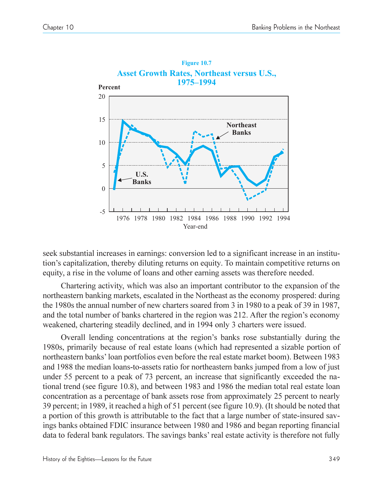

seek substantial increases in earnings: conversion led to a significant increase in an institution's capitalization, thereby diluting returns on equity. To maintain competitive returns on equity, a rise in the volume of loans and other earning assets was therefore needed.

Chartering activity, which was also an important contributor to the expansion of the northeastern banking markets, escalated in the Northeast as the economy prospered: during the 1980s the annual number of new charters soared from 3 in 1980 to a peak of 39 in 1987, and the total number of banks chartered in the region was 212. After the region's economy weakened, chartering steadily declined, and in 1994 only 3 charters were issued.

Overall lending concentrations at the region's banks rose substantially during the 1980s, primarily because of real estate loans (which had represented a sizable portion of northeastern banks' loan portfolios even before the real estate market boom). Between 1983 and 1988 the median loans-to-assets ratio for northeastern banks jumped from a low of just under 55 percent to a peak of 73 percent, an increase that significantly exceeded the national trend (see figure 10.8), and between 1983 and 1986 the median total real estate loan concentration as a percentage of bank assets rose from approximately 25 percent to nearly 39 percent; in 1989, it reached a high of 51 percent (see figure 10.9). (It should be noted that a portion of this growth is attributable to the fact that a large number of state-insured savings banks obtained FDIC insurance between 1980 and 1986 and began reporting financial data to federal bank regulators. The savings banks' real estate activity is therefore not fully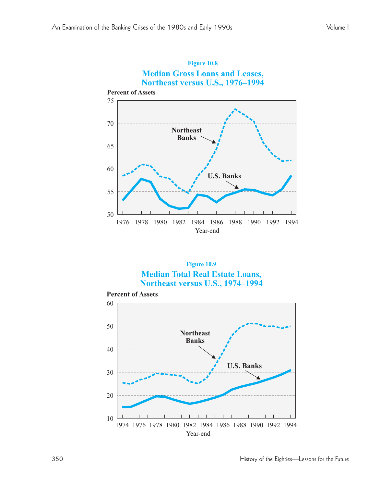







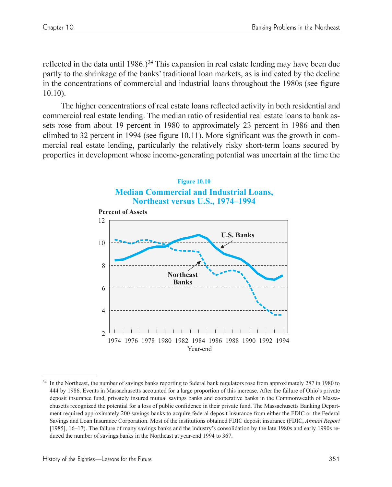reflected in the data until 1986.)<sup>34</sup> This expansion in real estate lending may have been due partly to the shrinkage of the banks' traditional loan markets, as is indicated by the decline in the concentrations of commercial and industrial loans throughout the 1980s (see figure 10.10).

The higher concentrations of real estate loans reflected activity in both residential and commercial real estate lending. The median ratio of residential real estate loans to bank assets rose from about 19 percent in 1980 to approximately 23 percent in 1986 and then climbed to 32 percent in 1994 (see figure 10.11). More significant was the growth in commercial real estate lending, particularly the relatively risky short-term loans secured by properties in development whose income-generating potential was uncertain at the time the



<sup>34</sup> In the Northeast, the number of savings banks reporting to federal bank regulators rose from approximately 287 in 1980 to 444 by 1986. Events in Massachusetts accounted for a large proportion of this increase. After the failure of Ohio's private deposit insurance fund, privately insured mutual savings banks and cooperative banks in the Commonwealth of Massachusetts recognized the potential for a loss of public confidence in their private fund. The Massachusetts Banking Department required approximately 200 savings banks to acquire federal deposit insurance from either the FDIC or the Federal Savings and Loan Insurance Corporation. Most of the institutions obtained FDIC deposit insurance (FDIC, *Annual Report* [1985], 16–17). The failure of many savings banks and the industry's consolidation by the late 1980s and early 1990s reduced the number of savings banks in the Northeast at year-end 1994 to 367.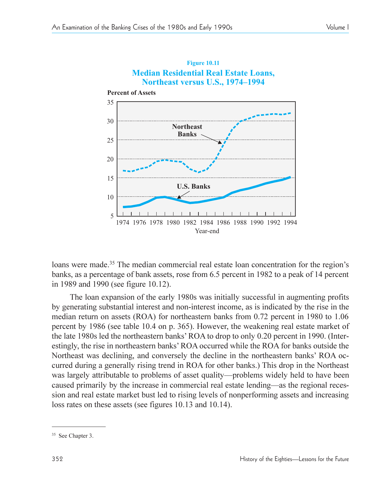

# **Figure 10.11**

loans were made.<sup>35</sup> The median commercial real estate loan concentration for the region's banks, as a percentage of bank assets, rose from 6.5 percent in 1982 to a peak of 14 percent in 1989 and 1990 (see figure 10.12).

The loan expansion of the early 1980s was initially successful in augmenting profits by generating substantial interest and non-interest income, as is indicated by the rise in the median return on assets (ROA) for northeastern banks from 0.72 percent in 1980 to 1.06 percent by 1986 (see table 10.4 on p. 365). However, the weakening real estate market of the late 1980s led the northeastern banks' ROA to drop to only 0.20 percent in 1990. (Interestingly, the rise in northeastern banks' ROA occurred while the ROA for banks outside the Northeast was declining, and conversely the decline in the northeastern banks' ROA occurred during a generally rising trend in ROA for other banks.) This drop in the Northeast was largely attributable to problems of asset quality—problems widely held to have been caused primarily by the increase in commercial real estate lending—as the regional recession and real estate market bust led to rising levels of nonperforming assets and increasing loss rates on these assets (see figures 10.13 and 10.14).

<sup>35</sup> See Chapter 3.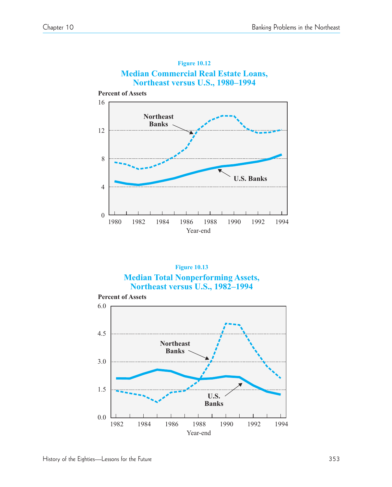





**Percent of Assets**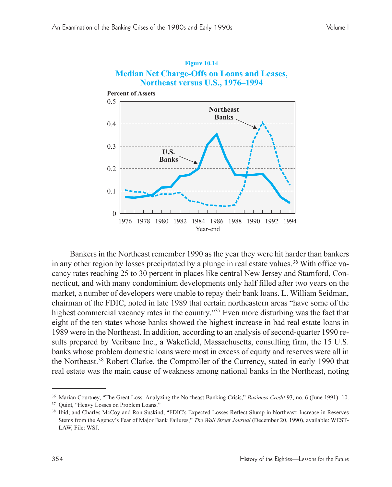

**Figure 10.14 Median Net Charge-Offs on Loans and Leases,**

Bankers in the Northeast remember 1990 as the year they were hit harder than bankers in any other region by losses precipitated by a plunge in real estate values.<sup>36</sup> With office vacancy rates reaching 25 to 30 percent in places like central New Jersey and Stamford, Connecticut, and with many condominium developments only half filled after two years on the market, a number of developers were unable to repay their bank loans. L. William Seidman, chairman of the FDIC, noted in late 1989 that certain northeastern areas "have some of the highest commercial vacancy rates in the country."<sup>37</sup> Even more disturbing was the fact that eight of the ten states whose banks showed the highest increase in bad real estate loans in 1989 were in the Northeast. In addition, according to an analysis of second-quarter 1990 results prepared by Veribanc Inc., a Wakefield, Massachusetts, consulting firm, the 15 U.S. banks whose problem domestic loans were most in excess of equity and reserves were all in the Northeast.38 Robert Clarke, the Comptroller of the Currency, stated in early 1990 that real estate was the main cause of weakness among national banks in the Northeast, noting

<sup>&</sup>lt;sup>36</sup> Marian Courtney, "The Great Loss: Analyzing the Northeast Banking Crisis," Business Credit 93, no. 6 (June 1991): 10.

<sup>&</sup>lt;sup>37</sup> Quint, "Heavy Losses on Problem Loans."

<sup>&</sup>lt;sup>38</sup> Ibid; and Charles McCoy and Ron Suskind, "FDIC's Expected Losses Reflect Slump in Northeast: Increase in Reserves Stems from the Agency's Fear of Major Bank Failures," The Wall Street Journal (December 20, 1990), available: WEST-LAW, File: WSJ.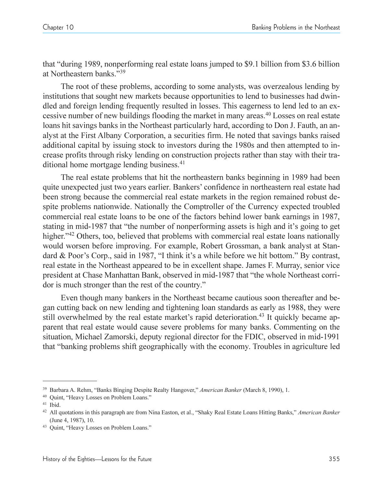that "during 1989, nonperforming real estate loans jumped to \$9.1 billion from \$3.6 billion at Northeastern banks."<sup>39</sup>

The root of these problems, according to some analysts, was overzealous lending by institutions that sought new markets because opportunities to lend to businesses had dwindled and foreign lending frequently resulted in losses. This eagerness to lend led to an excessive number of new buildings flooding the market in many areas.40 Losses on real estate loans hit savings banks in the Northeast particularly hard, according to Don J. Fauth, an analyst at the First Albany Corporation, a securities firm. He noted that savings banks raised additional capital by issuing stock to investors during the 1980s and then attempted to increase profits through risky lending on construction projects rather than stay with their traditional home mortgage lending business.<sup>41</sup>

The real estate problems that hit the northeastern banks beginning in 1989 had been quite unexpected just two years earlier. Bankers' confidence in northeastern real estate had been strong because the commercial real estate markets in the region remained robust despite problems nationwide. Nationally the Comptroller of the Currency expected troubled commercial real estate loans to be one of the factors behind lower bank earnings in 1987, stating in mid-1987 that "the number of nonperforming assets is high and it's going to get higher.<sup>42</sup> Others, too, believed that problems with commercial real estate loans nationally would worsen before improving. For example, Robert Grossman, a bank analyst at Standard & Poor's Corp., said in 1987, "I think it's a while before we hit bottom." By contrast, real estate in the Northeast appeared to be in excellent shape. James F. Murray, senior vice president at Chase Manhattan Bank, observed in mid-1987 that "the whole Northeast corridor is much stronger than the rest of the country.

Even though many bankers in the Northeast became cautious soon thereafter and began cutting back on new lending and tightening loan standards as early as 1988, they were still overwhelmed by the real estate market's rapid deterioration.<sup>43</sup> It quickly became apparent that real estate would cause severe problems for many banks. Commenting on the situation, Michael Zamorski, deputy regional director for the FDIC, observed in mid-1991 that banking problems shift geographically with the economy. Troubles in agriculture led

<sup>&</sup>lt;sup>39</sup> Barbara A. Rehm, "Banks Binging Despite Realty Hangover," *American Banker* (March 8, 1990), 1.

<sup>&</sup>lt;sup>40</sup> Quint, "Heavy Losses on Problem Loans."<br><sup>41</sup> Ibid.

<sup>&</sup>lt;sup>42</sup> All quotations in this paragraph are from Nina Easton, et al., "Shaky Real Estate Loans Hitting Banks," American Banker (June 4, 1987), 10.

<sup>&</sup>lt;sup>43</sup> Quint, "Heavy Losses on Problem Loans."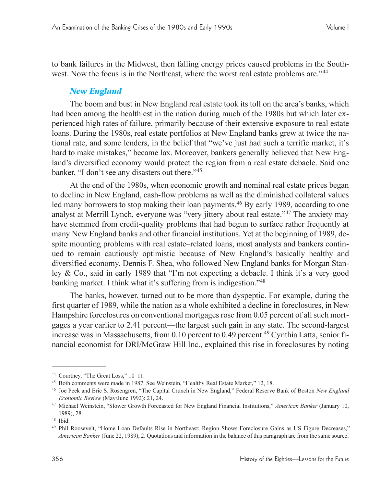to bank failures in the Midwest, then falling energy prices caused problems in the Southwest. Now the focus is in the Northeast, where the worst real estate problems are.<sup>144</sup>

# *New England*

The boom and bust in New England real estate took its toll on the area's banks, which had been among the healthiest in the nation during much of the 1980s but which later experienced high rates of failure, primarily because of their extensive exposure to real estate loans. During the 1980s, real estate portfolios at New England banks grew at twice the national rate, and some lenders, in the belief that "we've just had such a terrific market, it's hard to make mistakes," became lax. Moreover, bankers generally believed that New England's diversified economy would protect the region from a real estate debacle. Said one banker, "I don't see any disasters out there."<sup>45</sup>

At the end of the 1980s, when economic growth and nominal real estate prices began to decline in New England, cash-flow problems as well as the diminished collateral values led many borrowers to stop making their loan payments.<sup>46</sup> By early 1989, according to one analyst at Merrill Lynch, everyone was "very jittery about real estate."<sup>47</sup> The anxiety may have stemmed from credit-quality problems that had begun to surface rather frequently at many New England banks and other financial institutions. Yet at the beginning of 1989, despite mounting problems with real estate–related loans, most analysts and bankers continued to remain cautiously optimistic because of New England's basically healthy and diversified economy. Dennis F. Shea, who followed New England banks for Morgan Stanley  $\&$  Co., said in early 1989 that "I'm not expecting a debacle. I think it's a very good banking market. I think what it's suffering from is indigestion."<sup>48</sup>

The banks, however, turned out to be more than dyspeptic. For example, during the first quarter of 1989, while the nation as a whole exhibited a decline in foreclosures, in New Hampshire foreclosures on conventional mortgages rose from 0.05 percent of all such mortgages a year earlier to 2.41 percent—the largest such gain in any state. The second-largest increase was in Massachusetts, from 0.10 percent to 0.49 percent.<sup>49</sup> Cynthia Latta, senior financial economist for DRI/McGraw Hill Inc., explained this rise in foreclosures by noting

<sup>&</sup>lt;sup>44</sup> Courtney, "The Great Loss," 10-11.

<sup>&</sup>lt;sup>45</sup> Both comments were made in 1987. See Weinstein, "Healthy Real Estate Market," 12, 18.

<sup>&</sup>lt;sup>46</sup> Joe Peek and Eric S. Rosengren, "The Capital Crunch in New England," Federal Reserve Bank of Boston *New England Economic Review* (May/June 1992): 21, 24.

<sup>&</sup>lt;sup>47</sup> Michael Weinstein, "Slower Growth Forecasted for New England Financial Institutions," American Banker (January 10, 1989), 28.

<sup>48</sup> Ibid.

<sup>&</sup>lt;sup>49</sup> Phil Roosevelt, "Home Loan Defaults Rise in Northeast; Region Shows Foreclosure Gains as US Figure Decreases," *American Banker* (June 22, 1989), 2. Quotations and information in the balance of this paragraph are from the same source.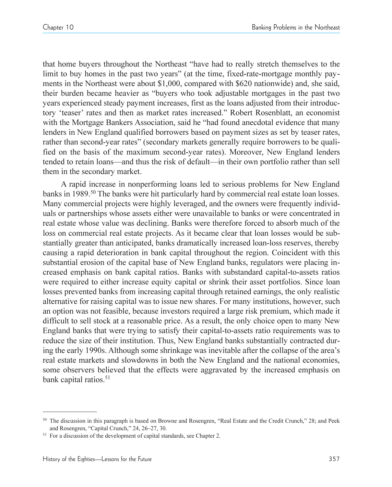that home buyers throughout the Northeast "have had to really stretch themselves to the limit to buy homes in the past two years" (at the time, fixed-rate-mortgage monthly payments in the Northeast were about \$1,000, compared with \$620 nationwide) and, she said, their burden became heavier as "buyers who took adjustable mortgages in the past two years experienced steady payment increases, first as the loans adjusted from their introductory 'teaser' rates and then as market rates increased." Robert Rosenblatt, an economist with the Mortgage Bankers Association, said he "had found anecdotal evidence that many lenders in New England qualified borrowers based on payment sizes as set by teaser rates, rather than second-year rates" (secondary markets generally require borrowers to be qualified on the basis of the maximum second-year rates). Moreover, New England lenders tended to retain loans—and thus the risk of default—in their own portfolio rather than sell them in the secondary market.

A rapid increase in nonperforming loans led to serious problems for New England banks in 1989.<sup>50</sup> The banks were hit particularly hard by commercial real estate loan losses. Many commercial projects were highly leveraged, and the owners were frequently individuals or partnerships whose assets either were unavailable to banks or were concentrated in real estate whose value was declining. Banks were therefore forced to absorb much of the loss on commercial real estate projects. As it became clear that loan losses would be substantially greater than anticipated, banks dramatically increased loan-loss reserves, thereby causing a rapid deterioration in bank capital throughout the region. Coincident with this substantial erosion of the capital base of New England banks, regulators were placing increased emphasis on bank capital ratios. Banks with substandard capital-to-assets ratios were required to either increase equity capital or shrink their asset portfolios. Since loan losses prevented banks from increasing capital through retained earnings, the only realistic alternative for raising capital was to issue new shares. For many institutions, however, such an option was not feasible, because investors required a large risk premium, which made it difficult to sell stock at a reasonable price. As a result, the only choice open to many New England banks that were trying to satisfy their capital-to-assets ratio requirements was to reduce the size of their institution. Thus, New England banks substantially contracted during the early 1990s. Although some shrinkage was inevitable after the collapse of the area's real estate markets and slowdowns in both the New England and the national economies, some observers believed that the effects were aggravated by the increased emphasis on bank capital ratios.<sup>51</sup>

 $50$  The discussion in this paragraph is based on Browne and Rosengren, "Real Estate and the Credit Crunch," 28; and Peek and Rosengren, "Capital Crunch," 24, 26-27, 30.

<sup>&</sup>lt;sup>51</sup> For a discussion of the development of capital standards, see Chapter 2.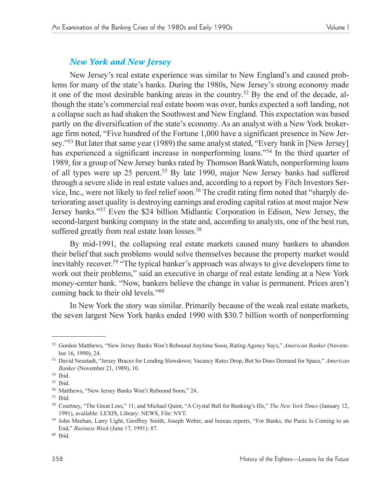# *New York and New Jersey*

New Jersey's real estate experience was similar to New England's and caused problems for many of the state's banks. During the 1980s, New Jersey's strong economy made it one of the most desirable banking areas in the country. <sup>52</sup> By the end of the decade, although the state's commercial real estate boom was over, banks expected a soft landing, not a collapse such as had shaken the Southwest and New England. This expectation was based partly on the diversification of the state's economy. As an analyst with a New York brokerage firm noted, "Five hundred of the Fortune 1,000 have a significant presence in New Jersey.<sup>53</sup> But later that same year (1989) the same analyst stated, "Every bank in [New Jersey] has experienced a significant increase in nonperforming loans.<sup>54</sup> In the third quarter of 1989, for a group of New Jersey banks rated by Thomson BankWatch, nonperforming loans of all types were up 25 percent.<sup>55</sup> By late 1990, major New Jersey banks had suffered through a severe slide in real estate values and, according to a report by Fitch Investors Service, Inc., were not likely to feel relief soon.<sup>56</sup> The credit rating firm noted that "sharply deteriorating asset quality is destroying earnings and eroding capital ratios at most major New Jersey banks."<sup>57</sup> Even the \$24 billion Midlantic Corporation in Edison, New Jersey, the second-largest banking company in the state and, according to analysts, one of the best run, suffered greatly from real estate loan losses.<sup>58</sup>

By mid-1991, the collapsing real estate markets caused many bankers to abandon their belief that such problems would solve themselves because the property market would inevitably recover.<sup>59</sup> "The typical banker's approach was always to give developers time to work out their problems," said an executive in charge of real estate lending at a New York money-center bank. "Now, bankers believe the change in value is permanent. Prices aren't coming back to their old levels."<sup>60</sup>

In New York the story was similar. Primarily because of the weak real estate markets, the seven largest New York banks ended 1990 with \$30.7 billion worth of nonperforming

<sup>52</sup> Gordon Matthews, "New Jersey Banks Won't Rebound Anytime Soon, Rating Agency Says," American Banker (November 16, 1990), 24.

<sup>53</sup> David Neustadt, "Jersey Braces for Lending Slowdown; Vacancy Rates Drop, But So Does Demand for Space," American *Banker* (November 21, 1989), 10.

<sup>54</sup> Ibid.

<sup>55</sup> Ibid.

<sup>&</sup>lt;sup>56</sup> Matthews, "New Jersey Banks Won't Rebound Soon," 24.

<sup>57</sup> Ibid.

<sup>58</sup> Courtney, "The Great Loss," 11; and Michael Quint, "A Crystal Ball for Banking's Ills," The New York Times (January 12, 1991), available: LEXIS, Library: NEWS, File: NYT.

<sup>&</sup>lt;sup>59</sup> John Meehan, Larry Light, Geoffrey Smith, Joseph Weber, and bureau reports, "For Banks, the Panic Is Coming to an End," *Business Week* (June 17, 1991): 87.

<sup>60</sup> Ibid.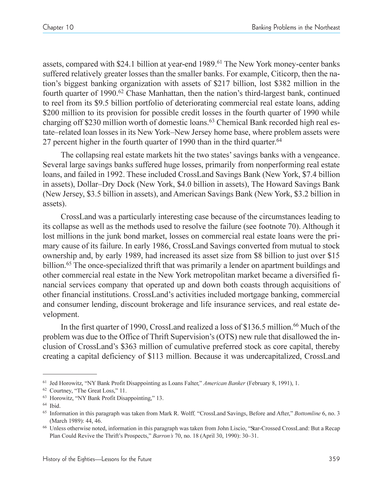assets, compared with \$24.1 billion at year-end 1989.<sup>61</sup> The New York money-center banks suffered relatively greater losses than the smaller banks. For example, Citicorp, then the nation's biggest banking organization with assets of \$217 billion, lost \$382 million in the fourth quarter of 1990.<sup>62</sup> Chase Manhattan, then the nation's third-largest bank, continued to reel from its \$9.5 billion portfolio of deteriorating commercial real estate loans, adding \$200 million to its provision for possible credit losses in the fourth quarter of 1990 while charging off \$230 million worth of domestic loans.63 Chemical Bank recorded high real estate–related loan losses in its New York–New Jersey home base, where problem assets were 27 percent higher in the fourth quarter of 1990 than in the third quarter.<sup>64</sup>

The collapsing real estate markets hit the two states' savings banks with a vengeance. Several large savings banks suffered huge losses, primarily from nonperforming real estate loans, and failed in 1992. These included CrossLand Savings Bank (New York, \$7.4 billion in assets), Dollar–Dry Dock (New York, \$4.0 billion in assets), The Howard Savings Bank (New Jersey, \$3.5 billion in assets), and American Savings Bank (New York, \$3.2 billion in assets).

CrossLand was a particularly interesting case because of the circumstances leading to its collapse as well as the methods used to resolve the failure (see footnote 70). Although it lost millions in the junk bond market, losses on commercial real estate loans were the primary cause of its failure. In early 1986, CrossLand Savings converted from mutual to stock ownership and, by early 1989, had increased its asset size from \$8 billion to just over \$15 billion.<sup>65</sup> The once-specialized thrift that was primarily a lender on apartment buildings and other commercial real estate in the New York metropolitan market became a diversified financial services company that operated up and down both coasts through acquisitions of other financial institutions. CrossLand's activities included mortgage banking, commercial and consumer lending, discount brokerage and life insurance services, and real estate development.

In the first quarter of 1990, CrossLand realized a loss of \$136.5 million.<sup>66</sup> Much of the problem was due to the Office of Thrift Supervision's (OTS) new rule that disallowed the inclusion of CrossLand's \$363 million of cumulative preferred stock as core capital, thereby creating a capital deficiency of \$113 million. Because it was undercapitalized, CrossLand

<sup>&</sup>lt;sup>61</sup> Jed Horowitz, "NY Bank Profit Disappointing as Loans Falter," American Banker (February 8, 1991), 1.

<sup>&</sup>lt;sup>62</sup> Courtney, "The Great Loss," 11.

<sup>&</sup>lt;sup>63</sup> Horowitz, "NY Bank Profit Disappointing," 13.

<sup>64</sup> Ibid.

<sup>65</sup> Information in this paragraph was taken from Mark R. Wolff*,* CrossLand Savings, Before and After, *Bottomline* 6, no. 3 (March 1989): 44, 46.

<sup>&</sup>lt;sup>66</sup> Unless otherwise noted, information in this paragraph was taken from John Liscio, "Star-Crossed CrossLand: But a Recap Plan Could Revive the Thrift's Prospects," Barron's 70, no. 18 (April 30, 1990): 30–31.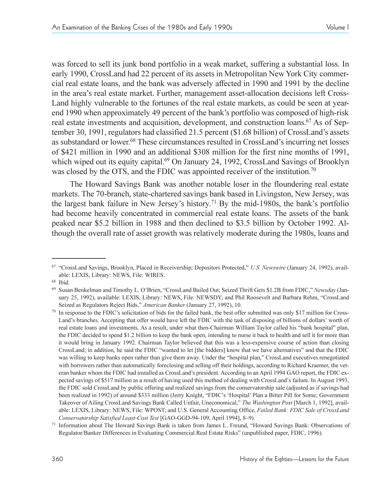was forced to sell its junk bond portfolio in a weak market, suffering a substantial loss. In early 1990, CrossLand had 22 percent of its assets in Metropolitan New York City commercial real estate loans, and the bank was adversely affected in 1990 and 1991 by the decline in the area's real estate market. Further, management asset-allocation decisions left Cross-Land highly vulnerable to the fortunes of the real estate markets, as could be seen at yearend 1990 when approximately 49 percent of the bank's portfolio was composed of high-risk real estate investments and acquisition, development, and construction loans.<sup>67</sup> As of September 30, 1991, regulators had classified 21.5 percent (\$1.68 billion) of CrossLand's assets as substandard or lower.<sup>68</sup> These circumstances resulted in CrossLand's incurring net losses of \$421 million in 1990 and an additional \$308 million for the first nine months of 1991, which wiped out its equity capital.<sup>69</sup> On January 24, 1992, CrossLand Savings of Brooklyn was closed by the OTS, and the FDIC was appointed receiver of the institution.<sup>70</sup>

The Howard Savings Bank was another notable loser in the floundering real estate markets. The 70-branch, state-chartered savings bank based in Livingston, New Jersey, was the largest bank failure in New Jersey's history.<sup>71</sup> By the mid-1980s, the bank's portfolio had become heavily concentrated in commercial real estate loans. The assets of the bank peaked near \$5.2 billion in 1988 and then declined to \$3.5 billion by October 1992. Although the overall rate of asset growth was relatively moderate during the 1980s, loans and

<sup>67</sup> CrossLand Savings, Brooklyn, Placed in Receivership; Depositors Protected, *U.S. Newswire* (January 24, 1992), available: LEXIS, Library: NEWS, File: WIRES.

<sup>68</sup> Ibid.

<sup>&</sup>lt;sup>69</sup> Susan Benkelman and Timothy L. O'Brien, "CrossLand Bailed Out; Seized Thrift Gets \$1.2B from FDIC," Newsday (January 25, 1992), available: LEXIS, Library: NEWS, File: NEWSDY; and Phil Roosevelt and Barbara Rehm, "CrossLand Seized as Regulators Reject Bids," *American Banker* (January 27, 1992), 10.

 $70$  In response to the FDIC's solicitation of bids for the failed bank, the best offer submitted was only \$17 million for Cross-Land's branches. Accepting that offer would have left the FDIC with the task of disposing of billions of dollars' worth of real estate loans and investments. As a result, under what then-Chairman William Taylor called his "bank hospital" plan, the FDIC decided to spend \$1.2 billion to keep the bank open, intending to nurse it back to health and sell it for more than it would bring in January 1992. Chairman Taylor believed that this was a less-expensive course of action than closing CrossLand; in addition, he said the FDIC "wanted to let [the bidders] know that we have alternatives" and that the FDIC was willing to keep banks open rather than give them away. Under the "hospital plan," CrossLand executives renegotiated with borrowers rather than automatically foreclosing and selling off their holdings, according to Richard Kraemer, the veteran banker whom the FDIC had installed as CrossLand's president. According to an April 1994 GAO report, the FDIC expected savings of \$517 million as a result of having used this method of dealing with CrossLand's failure. In August 1993, the FDIC sold CrossLand by public offering and realized savings from the conservatorship sale (adjusted as if savings had been realized in 1992) of around \$333 million (Jerry Knight, "FDIC's 'Hospital' Plan a Bitter Pill for Some; Government Takeover of Ailing CrossLand Savings Bank Called Unfair, Uneconomical, *The Washington Post* [March 1, 1992], available: LEXIS, Library: NEWS, File: WPOST; and U.S. General Accounting Office, *Failed Bank: FDIC Sale of CrossLand Conservatorship Satisfied Least-Cost Test* [GAO-GGD-94-109, April 1994], 8-9).

<sup>&</sup>lt;sup>71</sup> Information about The Howard Savings Bank is taken from James L. Freund, "Howard Savings Bank: Observations of Regulator/Banker Differences in Evaluating Commercial Real Estate Risks" (unpublished paper, FDIC, 1996).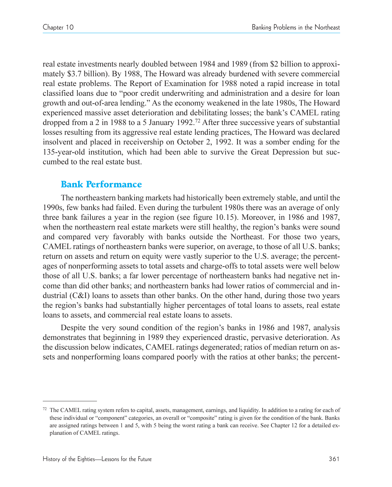real estate investments nearly doubled between 1984 and 1989 (from \$2 billion to approximately \$3.7 billion). By 1988, The Howard was already burdened with severe commercial real estate problems. The Report of Examination for 1988 noted a rapid increase in total classified loans due to poor credit underwriting and administration and a desire for loan growth and out-of-area lending." As the economy weakened in the late 1980s, The Howard experienced massive asset deterioration and debilitating losses; the bank's CAMEL rating dropped from a 2 in 1988 to a 5 January 1992.72 After three successive years of substantial losses resulting from its aggressive real estate lending practices, The Howard was declared insolvent and placed in receivership on October 2, 1992. It was a somber ending for the 135-year-old institution, which had been able to survive the Great Depression but succumbed to the real estate bust.

# Bank Performance

The northeastern banking markets had historically been extremely stable, and until the 1990s, few banks had failed. Even during the turbulent 1980s there was an average of only three bank failures a year in the region (see figure 10.15). Moreover, in 1986 and 1987, when the northeastern real estate markets were still healthy, the region's banks were sound and compared very favorably with banks outside the Northeast. For those two years, CAMEL ratings of northeastern banks were superior, on average, to those of all U.S. banks; return on assets and return on equity were vastly superior to the U.S. average; the percentages of nonperforming assets to total assets and charge-offs to total assets were well below those of all U.S. banks; a far lower percentage of northeastern banks had negative net income than did other banks; and northeastern banks had lower ratios of commercial and industrial (C&I) loans to assets than other banks. On the other hand, during those two years the region's banks had substantially higher percentages of total loans to assets, real estate loans to assets, and commercial real estate loans to assets.

Despite the very sound condition of the region's banks in 1986 and 1987, analysis demonstrates that beginning in 1989 they experienced drastic, pervasive deterioration. As the discussion below indicates, CAMEL ratings degenerated; ratios of median return on assets and nonperforming loans compared poorly with the ratios at other banks; the percent-

 $72$  The CAMEL rating system refers to capital, assets, management, earnings, and liquidity. In addition to a rating for each of these individual or "component" categories, an overall or "composite" rating is given for the condition of the bank. Banks are assigned ratings between 1 and 5, with 5 being the worst rating a bank can receive. See Chapter 12 for a detailed explanation of CAMEL ratings.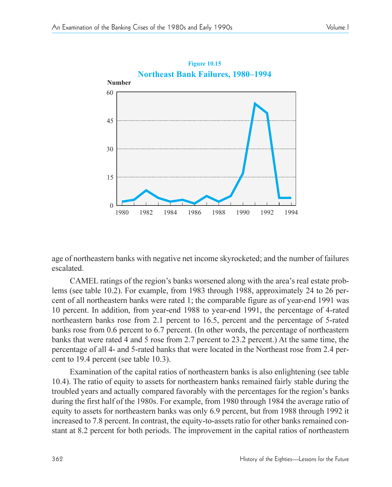

age of northeastern banks with negative net income skyrocketed; and the number of failures escalated.

CAMEL ratings of the region's banks worsened along with the area's real estate problems (see table 10.2). For example, from 1983 through 1988, approximately 24 to 26 percent of all northeastern banks were rated 1; the comparable figure as of year-end 1991 was 10 percent. In addition, from year-end 1988 to year-end 1991, the percentage of 4-rated northeastern banks rose from 2.1 percent to 16.5, percent and the percentage of 5-rated banks rose from 0.6 percent to 6.7 percent. (In other words, the percentage of northeastern banks that were rated 4 and 5 rose from 2.7 percent to 23.2 percent.) At the same time, the percentage of all 4- and 5-rated banks that were located in the Northeast rose from 2.4 percent to 19.4 percent (see table 10.3).

Examination of the capital ratios of northeastern banks is also enlightening (see table 10.4). The ratio of equity to assets for northeastern banks remained fairly stable during the troubled years and actually compared favorably with the percentages for the region's banks during the first half of the 1980s. For example, from 1980 through 1984 the average ratio of equity to assets for northeastern banks was only 6.9 percent, but from 1988 through 1992 it increased to 7.8 percent. In contrast, the equity-to-assets ratio for other banks remained constant at 8.2 percent for both periods. The improvement in the capital ratios of northeastern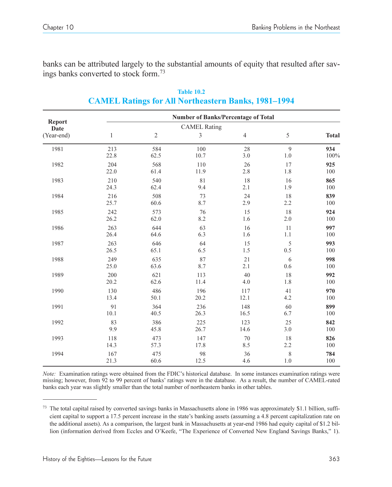banks can be attributed largely to the substantial amounts of equity that resulted after savings banks converted to stock form.73

|                       | <b>Number of Banks/Percentage of Total</b> |                |                     |                |         |              |  |  |
|-----------------------|--------------------------------------------|----------------|---------------------|----------------|---------|--------------|--|--|
| <b>Report</b><br>Date |                                            |                | <b>CAMEL Rating</b> |                |         |              |  |  |
| (Year-end)            | $\mathbf{1}$                               | $\mathfrak{2}$ | 3                   | $\overline{4}$ | 5       | <b>Total</b> |  |  |
| 1981                  | 213                                        | 584            | 100                 | 28             | 9       | 934          |  |  |
|                       | 22.8                                       | 62.5           | 10.7                | 3.0            | $1.0\,$ | 100%         |  |  |
| 1982                  | 204                                        | 568            | 110                 | 26             | 17      | 925          |  |  |
|                       | 22.0                                       | 61.4           | 11.9                | 2.8            | 1.8     | 100          |  |  |
| 1983                  | 210                                        | 540            | 81                  | 18             | 16      | 865          |  |  |
|                       | 24.3                                       | 62.4           | 9.4                 | 2.1            | 1.9     | 100          |  |  |
| 1984                  | 216                                        | 508            | 73                  | 24             | 18      | 839          |  |  |
|                       | 25.7                                       | 60.6           | 8.7                 | 2.9            | 2.2     | 100          |  |  |
| 1985                  | 242                                        | 573            | 76                  | 15             | 18      | 924          |  |  |
|                       | 26.2                                       | 62.0           | 8.2                 | 1.6            | 2.0     | 100          |  |  |
| 1986                  | 263                                        | 644            | 63                  | 16             | 11      | 997          |  |  |
|                       | 26.4                                       | 64.6           | 6.3                 | 1.6            | 1.1     | 100          |  |  |
| 1987                  | 263                                        | 646            | 64                  | 15             | 5       | 993          |  |  |
|                       | 26.5                                       | 65.1           | 6.5                 | 1.5            | 0.5     | 100          |  |  |
| 1988                  | 249                                        | 635            | 87                  | 21             | 6       | 998          |  |  |
|                       | 25.0                                       | 63.6           | 8.7                 | 2.1            | 0.6     | 100          |  |  |
| 1989                  | 200                                        | 621            | 113                 | 40             | 18      | 992          |  |  |
|                       | 20.2                                       | 62.6           | 11.4                | 4.0            | 1.8     | 100          |  |  |
| 1990                  | 130                                        | 486            | 196                 | 117            | 41      | 970          |  |  |
|                       | 13.4                                       | 50.1           | 20.2                | 12.1           | 4.2     | 100          |  |  |
| 1991                  | 91                                         | 364            | 236                 | 148            | 60      | 899          |  |  |
|                       | 10.1                                       | 40.5           | 26.3                | 16.5           | 6.7     | 100          |  |  |
| 1992                  | 83                                         | 386            | 225                 | 123            | 25      | 842          |  |  |
|                       | 9.9                                        | 45.8           | 26.7                | 14.6           | 3.0     | 100          |  |  |
| 1993                  | 118                                        | 473            | 147                 | 70             | 18      | 826          |  |  |
|                       | 14.3                                       | 57.3           | 17.8                | 8.5            | 2.2     | 100          |  |  |
| 1994                  | 167                                        | 475            | 98                  | 36             | 8       | 784          |  |  |
|                       | 21.3                                       | 60.6           | 12.5                | 4.6            | $1.0\,$ | 100          |  |  |

**Table 10.2 CAMEL Ratings for All Northeastern Banks, 1981-1994** 

*Note:* Examination ratings were obtained from the FDIC's historical database. In some instances examination ratings were missing; however, from 92 to 99 percent of banks' ratings were in the database. As a result, the number of CAMEL-rated banks each year was slightly smaller than the total number of northeastern banks in other tables.

<sup>73</sup> The total capital raised by converted savings banks in Massachusetts alone in 1986 was approximately \$1.1 billion, sufficient capital to support a 17.5 percent increase in the state's banking assets (assuming a 4.8 percent capitalization rate on the additional assets). As a comparison, the largest bank in Massachusetts at year-end 1986 had equity capital of \$1.2 billion (information derived from Eccles and O'Keefe, "The Experience of Converted New England Savings Banks," 1).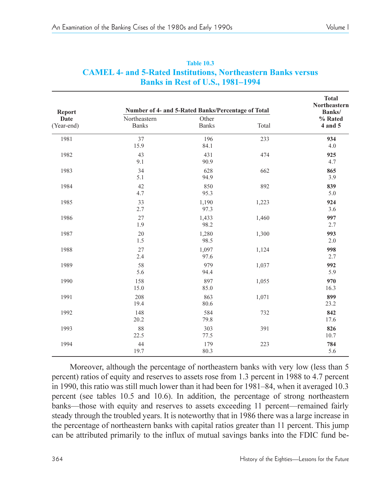| <b>Report</b>      |                              | Number of 4- and 5-Rated Banks/Percentage of Total |       | <b>Total</b><br>Northeastern<br>Banks/ |
|--------------------|------------------------------|----------------------------------------------------|-------|----------------------------------------|
| Date<br>(Year-end) | Northeastern<br><b>Banks</b> | Other<br><b>Banks</b>                              | Total | % Rated<br>4 and 5                     |
| 1981               | 37<br>15.9                   | 196<br>84.1                                        | 233   | 934<br>4.0                             |
| 1982               | 43<br>9.1                    | 431<br>90.9                                        | 474   | 925<br>4.7                             |
| 1983               | 34<br>5.1                    | 628<br>94.9                                        | 662   | 865<br>3.9                             |
| 1984               | 42<br>4.7                    | 850<br>95.3                                        | 892   | 839<br>5.0                             |
| 1985               | 33<br>2.7                    | 1,190<br>97.3                                      | 1,223 | 924<br>3.6                             |
| 1986               | 27<br>1.9                    | 1,433<br>98.2                                      | 1,460 | 997<br>2.7                             |
| 1987               | 20<br>1.5                    | 1,280<br>98.5                                      | 1,300 | 993<br>2.0                             |
| 1988               | 27<br>2.4                    | 1,097<br>97.6                                      | 1,124 | 998<br>2.7                             |
| 1989               | 58<br>5.6                    | 979<br>94.4                                        | 1,037 | 992<br>5.9                             |
| 1990               | 158<br>15.0                  | 897<br>85.0                                        | 1,055 | 970<br>16.3                            |
| 1991               | 208<br>19.4                  | 863<br>80.6                                        | 1,071 | 899<br>23.2                            |
| 1992               | 148<br>20.2                  | 584<br>79.8                                        | 732   | 842<br>17.6                            |
| 1993               | 88<br>22.5                   | 303<br>77.5                                        | 391   | 826<br>10.7                            |
| 1994               | 44<br>19.7                   | 179<br>80.3                                        | 223   | 784<br>5.6                             |

| <b>Table 10.3</b>                                                   |  |
|---------------------------------------------------------------------|--|
| <b>CAMEL 4- and 5-Rated Institutions, Northeastern Banks versus</b> |  |
| <b>Banks in Rest of U.S., 1981–1994</b>                             |  |

Moreover, although the percentage of northeastern banks with very low (less than 5 percent) ratios of equity and reserves to assets rose from 1.3 percent in 1988 to 4.7 percent in 1990, this ratio was still much lower than it had been for  $1981-84$ , when it averaged 10.3 percent (see tables 10.5 and 10.6). In addition, the percentage of strong northeastern banks—those with equity and reserves to assets exceeding 11 percent—remained fairly steady through the troubled years. It is noteworthy that in 1986 there was a large increase in the percentage of northeastern banks with capital ratios greater than 11 percent. This jump can be attributed primarily to the influx of mutual savings banks into the FDIC fund be-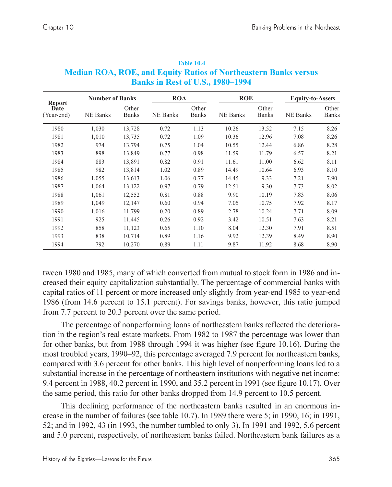|                                     | <b>Number of Banks</b> |                       | <b>ROA</b>      |                       | <b>ROE</b>      |                       | <b>Equity-to-Assets</b> |                       |
|-------------------------------------|------------------------|-----------------------|-----------------|-----------------------|-----------------|-----------------------|-------------------------|-----------------------|
| <b>Report</b><br>Date<br>(Year-end) | NE Banks               | Other<br><b>Banks</b> | <b>NE Banks</b> | Other<br><b>Banks</b> | <b>NE Banks</b> | Other<br><b>Banks</b> | <b>NE Banks</b>         | Other<br><b>Banks</b> |
| 1980                                | 1,030                  | 13,728                | 0.72            | 1.13                  | 10.26           | 13.52                 | 7.15                    | 8.26                  |
| 1981                                | 1,010                  | 13,735                | 0.72            | 1.09                  | 10.36           | 12.96                 | 7.08                    | 8.26                  |
| 1982                                | 974                    | 13,794                | 0.75            | 1.04                  | 10.55           | 12.44                 | 6.86                    | 8.28                  |
| 1983                                | 898                    | 13,849                | 0.77            | 0.98                  | 11.59           | 11.79                 | 6.57                    | 8.21                  |
| 1984                                | 883                    | 13,891                | 0.82            | 0.91                  | 11.61           | 11.00                 | 6.62                    | 8.11                  |
| 1985                                | 982                    | 13,814                | 1.02            | 0.89                  | 14.49           | 10.64                 | 6.93                    | 8.10                  |
| 1986                                | 1,055                  | 13,613                | 1.06            | 0.77                  | 14.45           | 9.33                  | 7.21                    | 7.90                  |
| 1987                                | 1.064                  | 13,122                | 0.97            | 0.79                  | 12.51           | 9.30                  | 7.73                    | 8.02                  |
| 1988                                | 1,061                  | 12,552                | 0.81            | 0.88                  | 9.90            | 10.19                 | 7.83                    | 8.06                  |
| 1989                                | 1.049                  | 12,147                | 0.60            | 0.94                  | 7.05            | 10.75                 | 7.92                    | 8.17                  |
| 1990                                | 1,016                  | 11,799                | 0.20            | 0.89                  | 2.78            | 10.24                 | 7.71                    | 8.09                  |
| 1991                                | 925                    | 11,445                | 0.26            | 0.92                  | 3.42            | 10.51                 | 7.63                    | 8.21                  |
| 1992                                | 858                    | 11,123                | 0.65            | 1.10                  | 8.04            | 12.30                 | 7.91                    | 8.51                  |
| 1993                                | 838                    | 10,714                | 0.89            | 1.16                  | 9.92            | 12.39                 | 8.49                    | 8.90                  |
| 1994                                | 792                    | 10,270                | 0.89            | 1.11                  | 9.87            | 11.92                 | 8.68                    | 8.90                  |

**Table 10.4 Median ROA, ROE, and Equity Ratios of Northeastern Banks versus Banks in Rest of U.S., 1980–1994** 

tween 1980 and 1985, many of which converted from mutual to stock form in 1986 and increased their equity capitalization substantially. The percentage of commercial banks with capital ratios of 11 percent or more increased only slightly from year-end 1985 to year-end 1986 (from 14.6 percent to 15.1 percent). For savings banks, however, this ratio jumped from 7.7 percent to 20.3 percent over the same period.

The percentage of nonperforming loans of northeastern banks reflected the deterioration in the region's real estate markets. From 1982 to 1987 the percentage was lower than for other banks, but from 1988 through 1994 it was higher (see figure 10.16). During the most troubled years, 1990–92, this percentage averaged 7.9 percent for northeastern banks, compared with 3.6 percent for other banks. This high level of nonperforming loans led to a substantial increase in the percentage of northeastern institutions with negative net income: 9.4 percent in 1988, 40.2 percent in 1990, and 35.2 percent in 1991 (see figure 10.17). Over the same period, this ratio for other banks dropped from 14.9 percent to 10.5 percent.

This declining performance of the northeastern banks resulted in an enormous increase in the number of failures (see table 10.7). In 1989 there were 5; in 1990, 16; in 1991, 52; and in 1992, 43 (in 1993, the number tumbled to only 3). In 1991 and 1992, 5.6 percent and 5.0 percent, respectively, of northeastern banks failed. Northeastern bank failures as a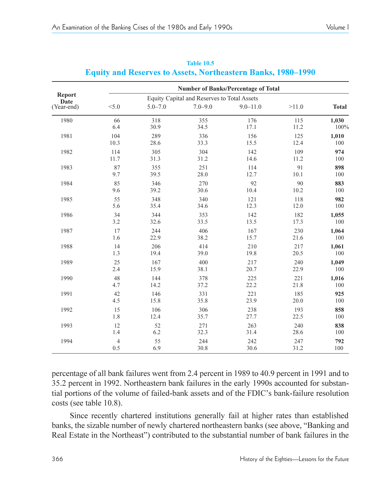|                | <b>Number of Banks/Percentage of Total</b> |             |                                             |              |       |              |  |  |
|----------------|--------------------------------------------|-------------|---------------------------------------------|--------------|-------|--------------|--|--|
| Report<br>Date |                                            |             | Equity Capital and Reserves to Total Assets |              |       |              |  |  |
| (Year-end)     | < 5.0                                      | $5.0 - 7.0$ | $7.0 - 9.0$                                 | $9.0 - 11.0$ | >11.0 | <b>Total</b> |  |  |
| 1980           | 66                                         | 318         | 355                                         | 176          | 115   | 1,030        |  |  |
|                | 6.4                                        | 30.9        | 34.5                                        | 17.1         | 11.2  | 100%         |  |  |
| 1981           | 104                                        | 289         | 336                                         | 156          | 125   | 1,010        |  |  |
|                | 10.3                                       | 28.6        | 33.3                                        | 15.5         | 12.4  | 100          |  |  |
| 1982           | 114                                        | 305         | 304                                         | 142          | 109   | 974          |  |  |
|                | 11.7                                       | 31.3        | 31.2                                        | 14.6         | 11.2  | 100          |  |  |
| 1983           | 87                                         | 355         | 251                                         | 114          | 91    | 898          |  |  |
|                | 9.7                                        | 39.5        | 28.0                                        | 12.7         | 10.1  | 100          |  |  |
| 1984           | 85                                         | 346         | 270                                         | 92           | 90    | 883          |  |  |
|                | 9.6                                        | 39.2        | 30.6                                        | 10.4         | 10.2  | 100          |  |  |
| 1985           | 55                                         | 348         | 340                                         | 121          | 118   | 982          |  |  |
|                | 5.6                                        | 35.4        | 34.6                                        | 12.3         | 12.0  | 100          |  |  |
| 1986           | 34                                         | 344         | 353                                         | 142          | 182   | 1,055        |  |  |
|                | 3.2                                        | 32.6        | 33.5                                        | 13.5         | 17.3  | 100          |  |  |
| 1987           | 17                                         | 244         | 406                                         | 167          | 230   | 1,064        |  |  |
|                | 1.6                                        | 22.9        | 38.2                                        | 15.7         | 21.6  | 100          |  |  |
| 1988           | 14                                         | 206         | 414                                         | 210          | 217   | 1,061        |  |  |
|                | 1.3                                        | 19.4        | 39.0                                        | 19.8         | 20.5  | 100          |  |  |
| 1989           | 25                                         | 167         | 400                                         | 217          | 240   | 1,049        |  |  |
|                | 2.4                                        | 15.9        | 38.1                                        | 20.7         | 22.9  | 100          |  |  |
| 1990           | 48                                         | 144         | 378                                         | 225          | 221   | 1,016        |  |  |
|                | 4.7                                        | 14.2        | 37.2                                        | 22.2         | 21.8  | 100          |  |  |
| 1991           | 42                                         | 146         | 331                                         | 221          | 185   | 925          |  |  |
|                | 4.5                                        | 15.8        | 35.8                                        | 23.9         | 20.0  | 100          |  |  |
| 1992           | 15                                         | 106         | 306                                         | 238          | 193   | 858          |  |  |
|                | 1.8                                        | 12.4        | 35.7                                        | 27.7         | 22.5  | 100          |  |  |
| 1993           | 12                                         | 52          | 271                                         | 263          | 240   | 838          |  |  |
|                | 1.4                                        | 6.2         | 32.3                                        | 31.4         | 28.6  | 100          |  |  |
| 1994           | $\overline{4}$                             | 55          | 244                                         | 242          | 247   | 792          |  |  |
|                | 0.5                                        | 6.9         | 30.8                                        | 30.6         | 31.2  | 100          |  |  |

#### **Table 10.5 Equity and Reserves to Assets, Northeastern Banks, 1980-1990**

percentage of all bank failures went from 2.4 percent in 1989 to 40.9 percent in 1991 and to 35.2 percent in 1992. Northeastern bank failures in the early 1990s accounted for substantial portions of the volume of failed-bank assets and of the FDIC's bank-failure resolution costs (see table 10.8).

Since recently chartered institutions generally fail at higher rates than established banks, the sizable number of newly chartered northeastern banks (see above, "Banking and Real Estate in the Northeast") contributed to the substantial number of bank failures in the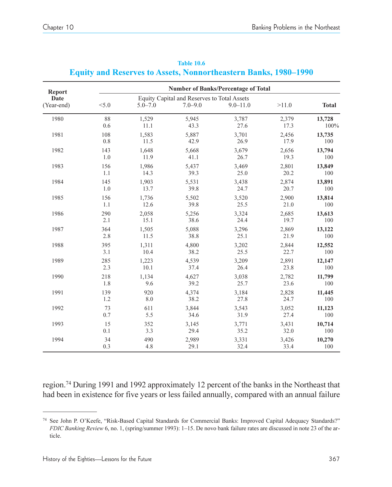| <b>Report</b>      |       |             |                                                            | <b>Number of Banks/Percentage of Total</b> |       |              |
|--------------------|-------|-------------|------------------------------------------------------------|--------------------------------------------|-------|--------------|
| Date<br>(Year-end) | < 5.0 | $5.0 - 7.0$ | Equity Capital and Reserves to Total Assets<br>$7.0 - 9.0$ | $9.0 - 11.0$                               | >11.0 | <b>Total</b> |
| 1980               | 88    | 1,529       | 5,945                                                      | 3,787                                      | 2,379 | 13,728       |
|                    | 0.6   | 11.1        | 43.3                                                       | 27.6                                       | 17.3  | 100%         |
| 1981               | 108   | 1,583       | 5,887                                                      | 3,701                                      | 2,456 | 13,735       |
|                    | 0.8   | 11.5        | 42.9                                                       | 26.9                                       | 17.9  | 100          |
| 1982               | 143   | 1,648       | 5,668                                                      | 3,679                                      | 2,656 | 13,794       |
|                    | 1.0   | 11.9        | 41.1                                                       | 26.7                                       | 19.3  | 100          |
| 1983               | 156   | 1,986       | 5,437                                                      | 3,469                                      | 2,801 | 13,849       |
|                    | 1.1   | 14.3        | 39.3                                                       | 25.0                                       | 20.2  | 100          |
| 1984               | 145   | 1,903       | 5,531                                                      | 3,438                                      | 2,874 | 13,891       |
|                    | 1.0   | 13.7        | 39.8                                                       | 24.7                                       | 20.7  | 100          |
| 1985               | 156   | 1,736       | 5,502                                                      | 3,520                                      | 2,900 | 13,814       |
|                    | 1.1   | 12.6        | 39.8                                                       | 25.5                                       | 21.0  | 100          |
| 1986               | 290   | 2,058       | 5,256                                                      | 3,324                                      | 2,685 | 13,613       |
|                    | 2.1   | 15.1        | 38.6                                                       | 24.4                                       | 19.7  | 100          |
| 1987               | 364   | 1,505       | 5,088                                                      | 3,296                                      | 2,869 | 13,122       |
|                    | 2.8   | 11.5        | 38.8                                                       | 25.1                                       | 21.9  | 100          |
| 1988               | 395   | 1,311       | 4,800                                                      | 3,202                                      | 2,844 | 12,552       |
|                    | 3.1   | 10.4        | 38.2                                                       | 25.5                                       | 22.7  | 100          |
| 1989               | 285   | 1,223       | 4,539                                                      | 3.209                                      | 2,891 | 12,147       |
|                    | 2.3   | 10.1        | 37.4                                                       | 26.4                                       | 23.8  | 100          |
| 1990               | 218   | 1,134       | 4,627                                                      | 3,038                                      | 2,782 | 11,799       |
|                    | 1.8   | 9.6         | 39.2                                                       | 25.7                                       | 23.6  | 100          |
| 1991               | 139   | 920         | 4,374                                                      | 3,184                                      | 2,828 | 11,445       |
|                    | 1.2   | 8.0         | 38.2                                                       | 27.8                                       | 24.7  | 100          |
| 1992               | 73    | 611         | 3,844                                                      | 3,543                                      | 3,052 | 11,123       |
|                    | 0.7   | 5.5         | 34.6                                                       | 31.9                                       | 27.4  | 100          |
| 1993               | 15    | 352         | 3,145                                                      | 3,771                                      | 3,431 | 10,714       |
|                    | 0.1   | 3.3         | 29.4                                                       | 35.2                                       | 32.0  | 100          |
| 1994               | 34    | 490         | 2,989                                                      | 3,331                                      | 3,426 | 10,270       |
|                    | 0.3   | 4.8         | 29.1                                                       | 32.4                                       | 33.4  | 100          |

**Table 10.6 Equity and Reserves to Assets, Nonnortheastern Banks, 1980-1990** 

region.74 During 1991 and 1992 approximately 12 percent of the banks in the Northeast that had been in existence for five years or less failed annually, compared with an annual failure

<sup>74</sup> See John P. O'Keefe, "Risk-Based Capital Standards for Commercial Banks: Improved Capital Adequacy Standards?" *FDIC Banking Review* 6, no. 1, (spring/summer 1993): 1-15. De novo bank failure rates are discussed in note 23 of the article.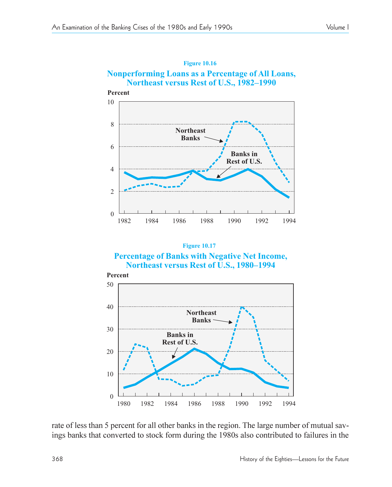## **Figure 10.16 Nonperforming Loans as a Percentage of All Loans, Northeast versus Rest of U.S., 1982–1990**



#### **Figure 10.17 Percentage of Banks with Negative Net Income, Northeast versus Rest of U.S., 1980–1994**



rate of less than 5 percent for all other banks in the region. The large number of mutual savings banks that converted to stock form during the 1980s also contributed to failures in the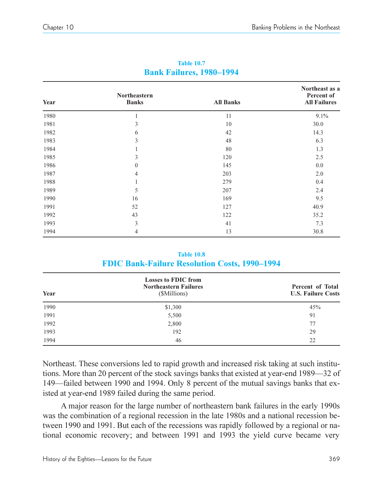| Year | Northeastern<br><b>Banks</b> | <b>All Banks</b> | Northeast as a<br>Percent of<br><b>All Failures</b> |
|------|------------------------------|------------------|-----------------------------------------------------|
| 1980 | 1                            | 11               | 9.1%                                                |
| 1981 | 3                            | 10               | 30.0                                                |
| 1982 | 6                            | 42               | 14.3                                                |
| 1983 | 3                            | 48               | 6.3                                                 |
| 1984 |                              | 80               | 1.3                                                 |
| 1985 | 3                            | 120              | 2.5                                                 |
| 1986 | $\mathbf{0}$                 | 145              | 0.0                                                 |
| 1987 | $\overline{4}$               | 203              | 2.0                                                 |
| 1988 |                              | 279              | 0.4                                                 |
| 1989 | 5                            | 207              | 2.4                                                 |
| 1990 | 16                           | 169              | 9.5                                                 |
| 1991 | 52                           | 127              | 40.9                                                |
| 1992 | 43                           | 122              | 35.2                                                |
| 1993 | 3                            | 41               | 7.3                                                 |
| 1994 | 4                            | 13               | 30.8                                                |

#### **Table 10.7 Bank Failures, 1980–1994**

#### **Table 10.8 FDIC Bank-Failure Resolution Costs, 1990-1994**

| Year | <b>Losses to FDIC from</b><br><b>Northeastern Failures</b><br>(\$Millions) | Percent of Total<br><b>U.S. Failure Costs</b> |  |
|------|----------------------------------------------------------------------------|-----------------------------------------------|--|
| 1990 | \$1,300                                                                    | 45%                                           |  |
| 1991 | 5,500                                                                      | 91                                            |  |
| 1992 | 2,800                                                                      | 77                                            |  |
| 1993 | 192                                                                        | 29                                            |  |
| 1994 | 46                                                                         | 22                                            |  |

Northeast. These conversions led to rapid growth and increased risk taking at such institutions. More than 20 percent of the stock savings banks that existed at year-end 1989—32 of 149-failed between 1990 and 1994. Only 8 percent of the mutual savings banks that existed at year-end 1989 failed during the same period.

A major reason for the large number of northeastern bank failures in the early 1990s was the combination of a regional recession in the late 1980s and a national recession between 1990 and 1991. But each of the recessions was rapidly followed by a regional or national economic recovery; and between 1991 and 1993 the yield curve became very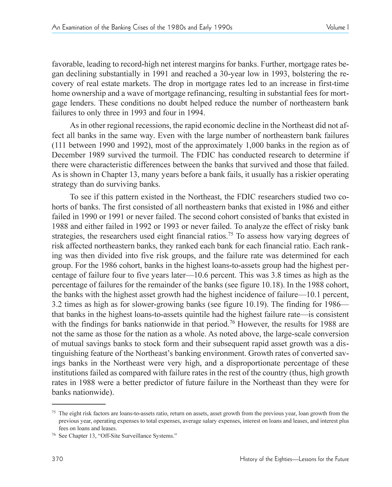favorable, leading to record-high net interest margins for banks. Further, mortgage rates began declining substantially in 1991 and reached a 30-year low in 1993, bolstering the recovery of real estate markets. The drop in mortgage rates led to an increase in first-time home ownership and a wave of mortgage refinancing, resulting in substantial fees for mortgage lenders. These conditions no doubt helped reduce the number of northeastern bank failures to only three in 1993 and four in 1994.

As in other regional recessions, the rapid economic decline in the Northeast did not affect all banks in the same way. Even with the large number of northeastern bank failures (111 between 1990 and 1992), most of the approximately 1,000 banks in the region as of December 1989 survived the turmoil. The FDIC has conducted research to determine if there were characteristic differences between the banks that survived and those that failed. As is shown in Chapter 13, many years before a bank fails, it usually has a riskier operating strategy than do surviving banks.

To see if this pattern existed in the Northeast, the FDIC researchers studied two cohorts of banks. The first consisted of all northeastern banks that existed in 1986 and either failed in 1990 or 1991 or never failed. The second cohort consisted of banks that existed in 1988 and either failed in 1992 or 1993 or never failed. To analyze the effect of risky bank strategies, the researchers used eight financial ratios.<sup>75</sup> To assess how varying degrees of risk affected northeastern banks, they ranked each bank for each financial ratio. Each ranking was then divided into five risk groups, and the failure rate was determined for each group. For the 1986 cohort, banks in the highest loans-to-assets group had the highest percentage of failure four to five years later— $10.6$  percent. This was 3.8 times as high as the percentage of failures for the remainder of the banks (see figure 10.18). In the 1988 cohort, the banks with the highest asset growth had the highest incidence of failure $-10.1$  percent, 3.2 times as high as for slower-growing banks (see figure 10.19). The finding for 1986 that banks in the highest loans-to-assets quintile had the highest failure rate—is consistent with the findings for banks nationwide in that period.<sup>76</sup> However, the results for 1988 are not the same as those for the nation as a whole. As noted above, the large-scale conversion of mutual savings banks to stock form and their subsequent rapid asset growth was a distinguishing feature of the Northeast's banking environment. Growth rates of converted savings banks in the Northeast were very high, and a disproportionate percentage of these institutions failed as compared with failure rates in the rest of the country (thus, high growth rates in 1988 were a better predictor of future failure in the Northeast than they were for banks nationwide).

<sup>&</sup>lt;sup>75</sup> The eight risk factors are loans-to-assets ratio, return on assets, asset growth from the previous year, loan growth from the previous year, operating expenses to total expenses, average salary expenses, interest on loans and leases, and interest plus fees on loans and leases.

<sup>&</sup>lt;sup>76</sup> See Chapter 13, "Off-Site Surveillance Systems."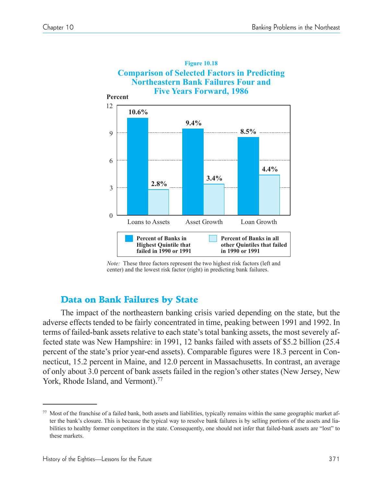

*Note:* These three factors represent the two highest risk factors (left and center) and the lowest risk factor (right) in predicting bank failures.

# Data on Bank Failures by State

The impact of the northeastern banking crisis varied depending on the state, but the adverse effects tended to be fairly concentrated in time, peaking between 1991 and 1992. In terms of failed-bank assets relative to each state's total banking assets, the most severely affected state was New Hampshire: in 1991, 12 banks failed with assets of \$5.2 billion (25.4 percent of the state's prior year-end assets). Comparable figures were 18.3 percent in Connecticut, 15.2 percent in Maine, and 12.0 percent in Massachusetts. In contrast, an average of only about 3.0 percent of bank assets failed in the region's other states (New Jersey, New York, Rhode Island, and Vermont).<sup>77</sup>

<sup>77</sup> Most of the franchise of a failed bank, both assets and liabilities, typically remains within the same geographic market after the bank's closure. This is because the typical way to resolve bank failures is by selling portions of the assets and liabilities to healthy former competitors in the state. Consequently, one should not infer that failed-bank assets are "lost" to these markets.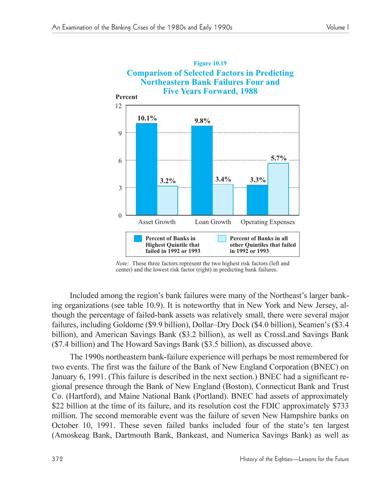

*Note:* These three factors represent the two highest risk factors (left and center) and the lowest risk factor (right) in predicting bank failures.

Included among the region's bank failures were many of the Northeast's larger banking organizations (see table 10.9). It is noteworthy that in New York and New Jersey, although the percentage of failed-bank assets was relatively small, there were several major failures, including Goldome (\$9.9 billion), Dollar–Dry Dock (\$4.0 billion), Seamen's (\$3.4 billion), and American Savings Bank (\$3.2 billion), as well as CrossLand Savings Bank (\$7.4 billion) and The Howard Savings Bank (\$3.5 billion), as discussed above.

The 1990s northeastern bank-failure experience will perhaps be most remembered for two events. The first was the failure of the Bank of New England Corporation (BNEC) on January 6, 1991. (This failure is described in the next section.) BNEC had a significant regional presence through the Bank of New England (Boston), Connecticut Bank and Trust Co. (Hartford), and Maine National Bank (Portland). BNEC had assets of approximately \$22 billion at the time of its failure, and its resolution cost the FDIC approximately \$733 million. The second memorable event was the failure of seven New Hampshire banks on October 10, 1991. These seven failed banks included four of the state's ten largest (Amoskeag Bank, Dartmouth Bank, Bankeast, and Numerica Savings Bank) as well as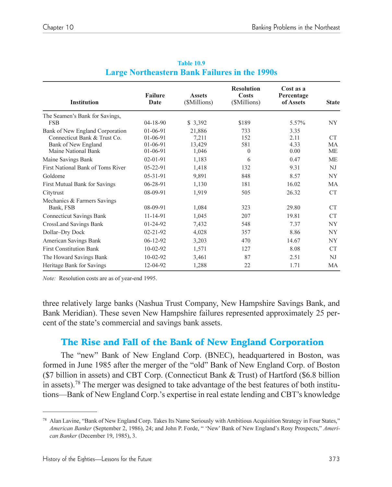| <b>Institution</b>                | <b>Failure</b><br>Date | <b>Assets</b><br>(\$Millions) | <b>Resolution</b><br><b>Costs</b><br>(\$Millions) | Cost as a<br>Percentage<br>of Assets | <b>State</b>    |
|-----------------------------------|------------------------|-------------------------------|---------------------------------------------------|--------------------------------------|-----------------|
| The Seamen's Bank for Savings,    |                        |                               |                                                   |                                      |                 |
| <b>FSB</b>                        | $04 - 18 - 90$         | \$3,392                       | \$189                                             | 5.57%                                | NY.             |
| Bank of New England Corporation   | $01-06-91$             | 21,886                        | 733                                               | 3.35                                 |                 |
| Connecticut Bank & Trust Co.      | $01-06-91$             | 7,211                         | 152                                               | 2.11                                 | CT <sup>-</sup> |
| Bank of New England               | 01-06-91               | 13,429                        | 581                                               | 4.33                                 | МA              |
| Maine National Bank               | $01-06-91$             | 1,046                         | $\Omega$                                          | 0.00                                 | ME              |
| Maine Savings Bank                | $02 - 01 - 91$         | 1,183                         | 6                                                 | 0.47                                 | <b>ME</b>       |
| First National Bank of Toms River | $05 - 22 - 91$         | 1,418                         | 132                                               | 9.31                                 | NJ              |
| Goldome                           | $05 - 31 - 91$         | 9,891                         | 848                                               | 8.57                                 | NY.             |
| First Mutual Bank for Savings     | 06-28-91               | 1,130                         | 181                                               | 16.02                                | <b>MA</b>       |
| Citytrust                         | 08-09-91               | 1,919                         | 505                                               | 26.32                                | CT              |
| Mechanics & Farmers Savings       |                        |                               |                                                   |                                      |                 |
| Bank, FSB                         | 08-09-91               | 1,084                         | 323                                               | 29.80                                | <b>CT</b>       |
| <b>Connecticut Savings Bank</b>   | 11-14-91               | 1,045                         | 207                                               | 19.81                                | <b>CT</b>       |
| CrossLand Savings Bank            | 01-24-92               | 7,432                         | 548                                               | 7.37                                 | NY.             |
| Dollar-Dry Dock                   | $02 - 21 - 92$         | 4,028                         | 357                                               | 8.86                                 | NY.             |
| American Savings Bank             | $06-12-92$             | 3,203                         | 470                                               | 14.67                                | <b>NY</b>       |
| <b>First Constitution Bank</b>    | $10-02-92$             | 1,571                         | 127                                               | 8.08                                 | <b>CT</b>       |
| The Howard Savings Bank           | $10-02-92$             | 3,461                         | 87                                                | 2.51                                 | NJ              |
| Heritage Bank for Savings         | 12-04-92               | 1,288                         | 22                                                | 1.71                                 | МA              |

|                                                      | <b>Table 10.9</b> |  |
|------------------------------------------------------|-------------------|--|
| <b>Large Northeastern Bank Failures in the 1990s</b> |                   |  |

*Note:* Resolution costs are as of year-end 1995.

three relatively large banks (Nashua Trust Company, New Hampshire Savings Bank, and Bank Meridian). These seven New Hampshire failures represented approximately 25 percent of the state's commercial and savings bank assets.

# The Rise and Fall of the Bank of New England Corporation

The "new" Bank of New England Corp. (BNEC), headquartered in Boston, was formed in June 1985 after the merger of the "old" Bank of New England Corp. of Boston (\$7 billion in assets) and CBT Corp. (Connecticut Bank & Trust) of Hartford (\$6.8 billion in assets).<sup>78</sup> The merger was designed to take advantage of the best features of both institutions—Bank of New England Corp.'s expertise in real estate lending and CBT's knowledge

<sup>&</sup>lt;sup>78</sup> Alan Lavine, "Bank of New England Corp. Takes Its Name Seriously with Ambitious Acquisition Strategy in Four States," American Banker (September 2, 1986), 24; and John P. Forde, " 'New' Bank of New England's Rosy Prospects," Ameri*can Banker* (December 19, 1985), 3.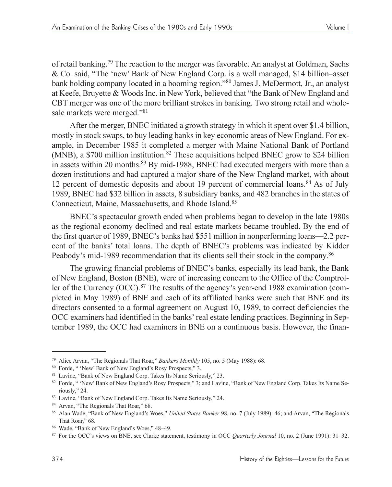of retail banking.79 The reaction to the merger was favorable. An analyst at Goldman, Sachs & Co. said, "The 'new' Bank of New England Corp. is a well managed, \$14 billion-asset bank holding company located in a booming region."<sup>80</sup> James J. McDermott, Jr., an analyst at Keefe, Bruyette & Woods Inc. in New York, believed that the Bank of New England and CBT merger was one of the more brilliant strokes in banking. Two strong retail and wholesale markets were merged."<sup>81</sup>

After the merger, BNEC initiated a growth strategy in which it spent over \$1.4 billion, mostly in stock swaps, to buy leading banks in key economic areas of New England. For example, in December 1985 it completed a merger with Maine National Bank of Portland (MNB), a \$700 million institution.<sup>82</sup> These acquisitions helped BNEC grow to \$24 billion in assets within 20 months. $83$  By mid-1988, BNEC had executed mergers with more than a dozen institutions and had captured a major share of the New England market, with about 12 percent of domestic deposits and about 19 percent of commercial loans.<sup>84</sup> As of July 1989, BNEC had \$32 billion in assets, 8 subsidiary banks, and 482 branches in the states of Connecticut, Maine, Massachusetts, and Rhode Island.85

BNEC's spectacular growth ended when problems began to develop in the late 1980s as the regional economy declined and real estate markets became troubled. By the end of the first quarter of 1989, BNEC's banks had \$551 million in nonperforming loans—2.2 percent of the banks' total loans. The depth of BNEC's problems was indicated by Kidder Peabody's mid-1989 recommendation that its clients sell their stock in the company.<sup>86</sup>

The growing financial problems of BNEC's banks, especially its lead bank, the Bank of New England, Boston (BNE), were of increasing concern to the Office of the Comptroller of the Currency  $(OCC)$ <sup>87</sup>. The results of the agency's year-end 1988 examination (completed in May 1989) of BNE and each of its affiliated banks were such that BNE and its directors consented to a formal agreement on August 10, 1989, to correct deficiencies the OCC examiners had identified in the banks' real estate lending practices. Beginning in September 1989, the OCC had examiners in BNE on a continuous basis. However, the finan-

<sup>&</sup>lt;sup>79</sup> Alice Arvan, "The Regionals That Roar," *Bankers Monthly* 105, no. 5 (May 1988): 68.

<sup>&</sup>lt;sup>80</sup> Forde, "'New' Bank of New England's Rosy Prospects," 3.

<sup>&</sup>lt;sup>81</sup> Lavine, "Bank of New England Corp. Takes Its Name Seriously," 23.

<sup>&</sup>lt;sup>82</sup> Forde, "'New' Bank of New England's Rosy Prospects," 3; and Lavine, "Bank of New England Corp. Takes Its Name Seriously," 24.

<sup>83</sup> Lavine, "Bank of New England Corp. Takes Its Name Seriously," 24.

<sup>&</sup>lt;sup>84</sup> Arvan, "The Regionals That Roar," 68.

<sup>&</sup>lt;sup>85</sup> Alan Wade, "Bank of New England's Woes," United States Banker 98, no. 7 (July 1989): 46; and Arvan, "The Regionals That Roar," 68.

<sup>&</sup>lt;sup>86</sup> Wade, "Bank of New England's Woes," 48-49.

<sup>87</sup> For the OCC's views on BNE, see Clarke statement, testimony in OCC *Quarterly Journal* 10, no. 2 (June 1991): 31–32.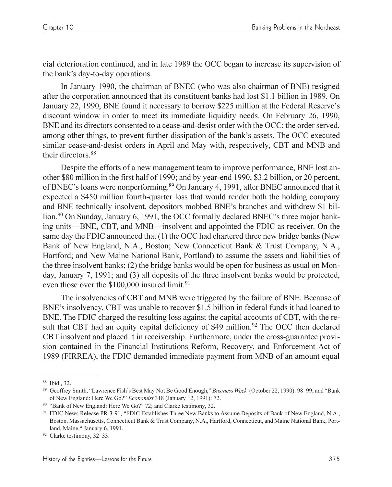cial deterioration continued, and in late 1989 the OCC began to increase its supervision of the bank's day-to-day operations.

In January 1990, the chairman of BNEC (who was also chairman of BNE) resigned after the corporation announced that its constituent banks had lost \$1.1 billion in 1989. On January 22, 1990, BNE found it necessary to borrow \$225 million at the Federal Reserve's discount window in order to meet its immediate liquidity needs. On February 26, 1990, BNE and its directors consented to a cease-and-desist order with the OCC; the order served, among other things, to prevent further dissipation of the bank's assets. The OCC executed similar cease-and-desist orders in April and May with, respectively, CBT and MNB and their directors.<sup>88</sup>

Despite the efforts of a new management team to improve performance, BNE lost another \$80 million in the first half of 1990; and by year-end 1990, \$3.2 billion, or 20 percent, of BNEC's loans were nonperforming.<sup>89</sup> On January 4, 1991, after BNEC announced that it expected a \$450 million fourth-quarter loss that would render both the holding company and BNE technically insolvent, depositors mobbed BNE's branches and withdrew \$1 billion.<sup>90</sup> On Sunday, January 6, 1991, the OCC formally declared BNEC's three major banking units—BNE, CBT, and MNB—insolvent and appointed the FDIC as receiver. On the same day the FDIC announced that (1) the OCC had chartered three new bridge banks (New Bank of New England, N.A., Boston; New Connecticut Bank & Trust Company, N.A., Hartford; and New Maine National Bank, Portland) to assume the assets and liabilities of the three insolvent banks; (2) the bridge banks would be open for business as usual on Monday, January 7, 1991; and (3) all deposits of the three insolvent banks would be protected, even those over the \$100,000 insured limit.<sup>91</sup>

The insolvencies of CBT and MNB were triggered by the failure of BNE. Because of BNE's insolvency, CBT was unable to recover \$1.5 billion in federal funds it had loaned to BNE. The FDIC charged the resulting loss against the capital accounts of CBT, with the result that CBT had an equity capital deficiency of \$49 million.<sup>92</sup> The OCC then declared CBT insolvent and placed it in receivership. Furthermore, under the cross-guarantee provision contained in the Financial Institutions Reform, Recovery, and Enforcement Act of 1989 (FIRREA), the FDIC demanded immediate payment from MNB of an amount equal

<sup>88</sup> Ibid., 32.

<sup>89</sup> Geoffrey Smith, "Lawrence Fish's Best May Not Be Good Enough," Business Week (October 22, 1990): 98–99; and "Bank of New England: Here We Go?" *Economist* 318 (January 12, 1991): 72. 90 "Bank of New England: Here We Go?" 72; and Clarke testimony, 32.

<sup>91</sup> FDIC News Release PR-3-91, "FDIC Establishes Three New Banks to Assume Deposits of Bank of New England, N.A., Boston, Massachusetts, Connecticut Bank & Trust Company, N.A., Hartford, Connecticut, and Maine National Bank, Portland, Maine," January 6, 1991.

 $92$  Clarke testimony, 32–33.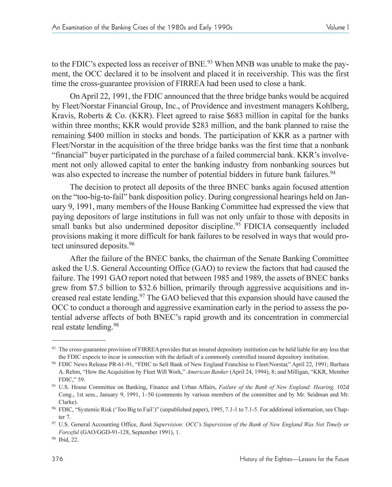to the FDIC's expected loss as receiver of BNE.<sup>93</sup> When MNB was unable to make the payment, the OCC declared it to be insolvent and placed it in receivership. This was the first time the cross-guarantee provision of FIRREA had been used to close a bank.

On April 22, 1991, the FDIC announced that the three bridge banks would be acquired by Fleet/Norstar Financial Group, Inc., of Providence and investment managers Kohlberg, Kravis, Roberts & Co. (KKR). Fleet agreed to raise \$683 million in capital for the banks within three months; KKR would provide \$283 million, and the bank planned to raise the remaining \$400 million in stocks and bonds. The participation of KKR as a partner with Fleet/Norstar in the acquisition of the three bridge banks was the first time that a nonbank "financial" buyer participated in the purchase of a failed commercial bank. KKR's involvement not only allowed capital to enter the banking industry from nonbanking sources but was also expected to increase the number of potential bidders in future bank failures.<sup>94</sup>

The decision to protect all deposits of the three BNEC banks again focused attention on the "too-big-to-fail" bank disposition policy. During congressional hearings held on January 9, 1991, many members of the House Banking Committee had expressed the view that paying depositors of large institutions in full was not only unfair to those with deposits in small banks but also undermined depositor discipline.<sup>95</sup> FDICIA consequently included provisions making it more difficult for bank failures to be resolved in ways that would protect uninsured deposits.96

After the failure of the BNEC banks, the chairman of the Senate Banking Committee asked the U.S. General Accounting Office (GAO) to review the factors that had caused the failure. The 1991 GAO report noted that between 1985 and 1989, the assets of BNEC banks grew from \$7.5 billion to \$32.6 billion, primarily through aggressive acquisitions and increased real estate lending.97 The GAO believed that this expansion should have caused the OCC to conduct a thorough and aggressive examination early in the period to assess the potential adverse affects of both BNEC's rapid growth and its concentration in commercial real estate lending.<sup>98</sup>

The cross-guarantee provision of FIRREA provides that an insured depository institution can be held liable for any loss that the FDIC expects to incur in connection with the default of a commonly controlled insured depository institution.

<sup>94</sup> FDIC News Release PR-61-91, "FDIC to Sell Bank of New England Franchise to Fleet/Norstar," April 22, 1991; Barbara A. Rehm, "How the Acquisition by Fleet Will Work," American Banker (April 24, 1994), 8; and Milligan, "KKR, Member FDIC," 59.

<sup>95</sup> U.S. House Committee on Banking, Finance and Urban Affairs, *Failure of the Bank of New England: Hearing,* 102d Cong., 1st sess., January 9, 1991, 1-50 (comments by various members of the committee and by Mr. Seidman and Mr. Clarke).

<sup>&</sup>lt;sup>96</sup> FDIC, "Systemic Risk ('Too Big to Fail')" (unpublished paper), 1995, 7.1-1 to 7.1-5. For additional information, see Chapter 7.

<sup>97</sup> U.S. General Accounting Office, *Bank Supervision: OCCs Supervision of the Bank of New England Was Not Timely or Forceful* (GAO/GGD-91-128, September 1991), 1.

<sup>98</sup> Ibid, 22.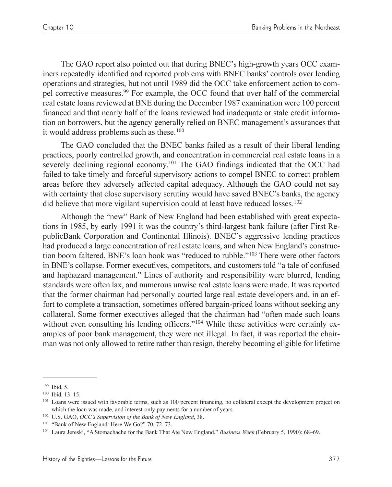The GAO report also pointed out that during BNEC's high-growth years OCC examiners repeatedly identified and reported problems with BNEC banks' controls over lending operations and strategies, but not until 1989 did the OCC take enforcement action to compel corrective measures.99 For example, the OCC found that over half of the commercial real estate loans reviewed at BNE during the December 1987 examination were 100 percent financed and that nearly half of the loans reviewed had inadequate or stale credit information on borrowers, but the agency generally relied on BNEC management's assurances that it would address problems such as these.<sup>100</sup>

The GAO concluded that the BNEC banks failed as a result of their liberal lending practices, poorly controlled growth, and concentration in commercial real estate loans in a severely declining regional economy.<sup>101</sup> The GAO findings indicated that the OCC had failed to take timely and forceful supervisory actions to compel BNEC to correct problem areas before they adversely affected capital adequacy. Although the GAO could not say with certainty that close supervisory scrutiny would have saved BNEC's banks, the agency did believe that more vigilant supervision could at least have reduced losses.<sup>102</sup>

Although the "new" Bank of New England had been established with great expectations in 1985, by early 1991 it was the countrys third-largest bank failure (after First RepublicBank Corporation and Continental Illinois). BNEC's aggressive lending practices had produced a large concentration of real estate loans, and when New England's construction boom faltered, BNE's loan book was "reduced to rubble."<sup>103</sup> There were other factors in BNE's collapse. Former executives, competitors, and customers told "a tale of confused and haphazard management." Lines of authority and responsibility were blurred, lending standards were often lax, and numerous unwise real estate loans were made. It was reported that the former chairman had personally courted large real estate developers and, in an effort to complete a transaction, sometimes offered bargain-priced loans without seeking any collateral. Some former executives alleged that the chairman had "often made such loans" without even consulting his lending officers."<sup>104</sup> While these activities were certainly examples of poor bank management, they were not illegal. In fact, it was reported the chairman was not only allowed to retire rather than resign, thereby becoming eligible for lifetime

<sup>99</sup> Ibid, 5.

 $100$  Ibid,  $13-15$ .

<sup>&</sup>lt;sup>101</sup> Loans were issued with favorable terms, such as 100 percent financing, no collateral except the development project on which the loan was made, and interest-only payments for a number of years.

<sup>&</sup>lt;sup>102</sup> U.S. GAO, *OCC's Supervision of the Bank of New England*, 38.

 $103$  "Bank of New England: Here We Go?" 70, 72–73.

<sup>&</sup>lt;sup>104</sup> Laura Jereski, "A Stomachache for the Bank That Ate New England," *Business Week* (February 5, 1990): 68–69.